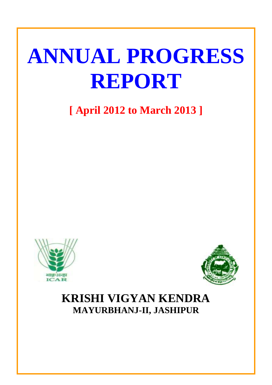# **ANNUAL PROGRESS REPORT**

**[ April 2012 to March 2013 ]**





# **KRISHI VIGYAN KENDRA MAYURBHANJ-II, JASHIPUR**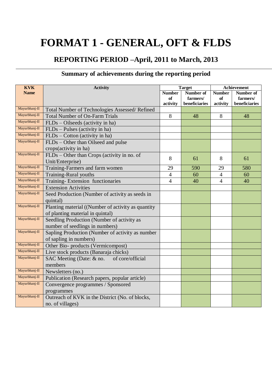# **FORMAT 1 - GENERAL, OFT & FLDS**

# **REPORTING PERIOD –April, 2011 to March, 2013**

# **Summary of achievements during the reporting period**

| <b>KVK</b>    | <b>Activity</b>                                                               | <b>Target</b>  |                  |                | Achievement   |  |
|---------------|-------------------------------------------------------------------------------|----------------|------------------|----------------|---------------|--|
| <b>Name</b>   |                                                                               | <b>Number</b>  | <b>Number of</b> | <b>Number</b>  | Number of     |  |
|               |                                                                               | of             | farmers/         | of             | farmers/      |  |
|               |                                                                               | activity       | beneficiaries    | activity       | beneficiaries |  |
| Mayurbhanj-II | Total Number of Technologies Assessed/Refined                                 |                |                  |                |               |  |
| Mayurbhanj-II | <b>Total Number of On-Farm Trials</b>                                         | 8              | 48               | 8              | 48            |  |
| Mayurbhanj-II | $FLDs - Oilseeds$ (activity in ha)                                            |                |                  |                |               |  |
| Mayurbhanj-II | FLDs – Pulses (activity in ha)                                                |                |                  |                |               |  |
| Mayurbhanj-II | $FLDs - Cotton$ (activity in ha)                                              |                |                  |                |               |  |
| Mayurbhanj-II | FLDs – Other than Oilseed and pulse<br>crops(activity in ha)                  |                |                  |                |               |  |
| Mayurbhanj-II | FLDs – Other than Crops (activity in no. of<br>Unit/Enterprise)               | 8              | 61               | 8              | 61            |  |
| Mayurbhanj-II | Training-Farmers and farm women                                               | 29             | 590              | 29             | 580           |  |
| Mayurbhanj-II | <b>Training-Rural youths</b>                                                  | $\overline{4}$ | 60               | $\overline{4}$ | 60            |  |
| Mayurbhanj-II | Training-Extension functionaries                                              | $\overline{4}$ | 40               | $\overline{4}$ | 40            |  |
| Mayurbhanj-II | <b>Extension Activities</b>                                                   |                |                  |                |               |  |
| Mayurbhanj-II | Seed Production (Number of activity as seeds in                               |                |                  |                |               |  |
|               | quintal)                                                                      |                |                  |                |               |  |
| Mayurbhanj-II | Planting material ((Number of activity as quantity)                           |                |                  |                |               |  |
|               | of planting material in quintal)                                              |                |                  |                |               |  |
| Mayurbhanj-II | Seedling Production (Number of activity as<br>number of seedlings in numbers) |                |                  |                |               |  |
| Mayurbhanj-II | Sapling Production (Number of activity as number                              |                |                  |                |               |  |
|               | of sapling in numbers)                                                        |                |                  |                |               |  |
| Mayurbhanj-II | Other Bio- products (Vermicompost)                                            |                |                  |                |               |  |
| Mayurbhanj-II | Live stock products (Banaraja chicks)                                         |                |                  |                |               |  |
| Mayurbhanj-II | SAC Meeting (Date: & no. of core/official                                     |                |                  |                |               |  |
|               | members                                                                       |                |                  |                |               |  |
| Mayurbhanj-II | Newsletters (no.)                                                             |                |                  |                |               |  |
| Mayurbhanj-II | Publication (Research papers, popular article)                                |                |                  |                |               |  |
| Mayurbhanj-II | Convergence programmes / Sponsored                                            |                |                  |                |               |  |
|               | programmes                                                                    |                |                  |                |               |  |
| Mayurbhanj-II | Outreach of KVK in the District (No. of blocks,                               |                |                  |                |               |  |
|               | no. of villages)                                                              |                |                  |                |               |  |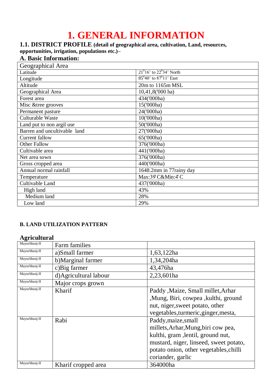# **1. GENERAL INFORMATION**

# **1.1. DISTRICT PROFILE (detail of geographical area, cultivation, Land, resources,**

**opportunities, irrigation, populations etc.)–**

# **A. Basic Information:**

| Geographical Area            |                                  |
|------------------------------|----------------------------------|
| Latitude                     | $21^{0}16'$ to $22^{0}34'$ North |
| Longitude                    | $85^{0}40'$ to $87^{0}11'$ East  |
| Altitude                     | 20m to 1165m MSL                 |
| Geographical Area            | 10,41,8('000 ha)                 |
| Forest area                  | 434('000ha)                      |
| Misc &tree grooves           | 15('000ha)                       |
| Permanent pasture            | 24('000ha)                       |
| Culturable Waste             | 10('000ha)                       |
| Land put to non argil use    | 50('000ha)                       |
| Barren and uncultivable land | 27('000ha)                       |
| Current fallow               | 65('000ha)                       |
| Other Fallow                 | 376('000ha)                      |
| Cultivable area              | 441('000ha)                      |
| Net area sown                | 376('000ha)                      |
| Gross cropped area           | 440('000ha)                      |
| Annual normal rainfall       | 1648.2mm in 77rainy day          |
| Temperature                  | Max:39 C&Min:4°C                 |
| Cultivable Land              | 437('000ha)                      |
| High land                    | 43%                              |
| Medium land                  | 28%                              |
| Low land                     | 29%                              |

#### **B. LAND UTILIZATION PATTERN**

#### **Agricultural**

| $\sum$        |                        |                                        |
|---------------|------------------------|----------------------------------------|
| Mayurbhanj-II | Farm families          |                                        |
| Mayurbhanj-II | a)Small farmer         | 1,63,122ha                             |
| Mayurbhanj-II | b)Marginal farmer      | 1,34,204ha                             |
| Mayurbhanj-II | c) Big farmer          | 43,476ha                               |
| Mayurbhanj-II | d) Agricultural labour | 2,23,601ha                             |
| Mayurbhanj-II | Major crops grown      |                                        |
| Mayurbhanj-II | Kharif                 | Paddy , Maize, Small millet, Arhar     |
|               |                        | , Mung, Biri, cowpea, kulthi, ground   |
|               |                        | nut, niger, sweet potato, other        |
|               |                        | vegetables, turmeric, ginger, mesta,   |
| Mayurbhanj-II | Rabi                   | Paddy, maize, small                    |
|               |                        | millets, Arhar, Mung, biri cow pea,    |
|               |                        | kulthi, gram , lentil, ground nut,     |
|               |                        | mustard, niger, linseed, sweet potato, |
|               |                        | potato onion, other vegetables, chilli |
|               |                        | coriander, garlic                      |
| Mayurbhanj-II | Kharif cropped area    | 364000ha                               |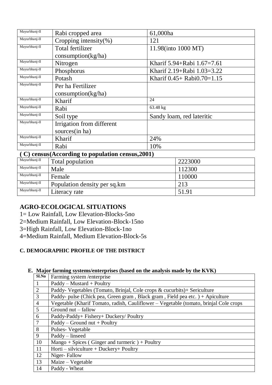| Mayurbhanj-II                                    | Rabi cropped area         | 61,000ha                               |  |
|--------------------------------------------------|---------------------------|----------------------------------------|--|
| Mayurbhanj-II                                    | Cropping intensity $(\%)$ | 121                                    |  |
| Mayurbhanj-II                                    | Total fertilizer          | 11.98(into 1000 MT)                    |  |
|                                                  | consumption(kg/ha)        |                                        |  |
| Mayurbhanj-II                                    | Nitrogen                  | Kharif 5.94+Rabi 1.67=7.61             |  |
| Mayurbhanj-II                                    | Phosphorus                | Kharif 2.19+Rabi 1.03=3.22             |  |
| Mayurbhanj-II                                    | Potash                    | Kharif $0.45 + \text{Rabi}0.70 = 1.15$ |  |
| Mayurbhanj-II                                    | Per ha Fertilizer         |                                        |  |
|                                                  | consumption(kg/ha)        |                                        |  |
| Mayurbhanj-II                                    | Kharif                    | 24                                     |  |
| Mayurbhanj-II                                    | Rabi                      | 63.48 kg                               |  |
| Mayurbhanj-II                                    | Soil type                 | Sandy loam, red lateritic              |  |
| Mayurbhanj-II                                    | Irrigation from different |                                        |  |
|                                                  | sources(in ha)            |                                        |  |
| Mayurbhanj-II                                    | Kharif                    | 24%                                    |  |
| Mayurbhanj-II                                    | Rabi                      | 10%                                    |  |
| (C) census(According to population census, 2001) |                           |                                        |  |

| Mayurbhanj-II | Total population             | 2223000 |
|---------------|------------------------------|---------|
| Mayurbhanj-II | Male                         | 112300  |
| Mayurbhanj-II | Female                       | 110000  |
| Mayurbhanj-II | Population density per sq.km | 213     |
| Mayurbhanj-II | Literacy rate                | 51.91   |

# **AGRO-ECOLOGICAL SITUATIONS**

- 1= Low Rainfall, Low Elevation-Blocks-5no
- 2=Medium Rainfall, Low Elevation-Block-15no
- 3=High Rainfall, Low Elevation-Block-1no
- 4=Medium Rainfall, Medium Elevation-Block-5s

#### **C. DEMOGRAPHIC PROFILE OF THE DISTRICT**

#### **E. Major farming systems/enterprises (based on the analysis made by the KVK)**

| Sl.No          | Farming system/enterprise                                                             |
|----------------|---------------------------------------------------------------------------------------|
|                | $Paddy - Mustard + Poultry$                                                           |
| $\overline{2}$ | Paddy- Vegetables (Tomato, Brinjal, Cole crops & cucurbits)+ Sericulture              |
| 3              | Paddy- pulse (Chick pea, Green gram, Black gram, Field pea etc.) + Apiculture         |
| $\overline{4}$ | Vegetable (Kharif Tomato, radish, Cauliflower – Vegetable (tomato, brinjal Cole crops |
| $\overline{5}$ | Ground nut – fallow                                                                   |
| 6              | Paddy-Paddy+ Fishery+ Duckery/ Poultry                                                |
| $\overline{7}$ | $\text{Paddy} - \text{Ground nut} + \text{Poultry}$                                   |
| 8              | Pulses-Vegetable                                                                      |
| 9              | Paddy - linseed                                                                       |
| 10             | Mango + Spices (Ginger and turmeric) + Poultry                                        |
| 11             | $Horti - silviculture + Duckery + Poultry$                                            |
| 12             | Niger-Fallow                                                                          |
| 13             | Maize - Vegetable                                                                     |
| 14             | Paddy - Wheat                                                                         |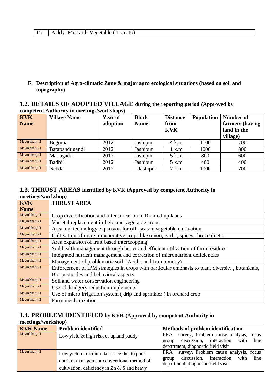**F. Description of Agro-climatic Zone & major agro ecological situations (based on soil and topography)**

#### **1.2. DETAILS OF ADOPTED VILLAGE during the reporting period (Approved by competent Authority in meetings/workshops)**

| <b>KVK</b><br><b>Name</b> | 0<br><b>Village Name</b> | $\blacksquare$<br><b>Year of</b><br>adoption | <b>Block</b><br><b>Name</b> | <b>Distance</b><br>from<br><b>KVK</b> | <b>Population</b> | Number of<br>farmers (having<br>land in the |
|---------------------------|--------------------------|----------------------------------------------|-----------------------------|---------------------------------------|-------------------|---------------------------------------------|
|                           |                          |                                              |                             |                                       |                   | village)                                    |
| Mayurbhanj-II             | Begunia                  | 2012                                         | Jashipur                    | $4$ k.m                               | 1100              | 700                                         |
| Mayurbhanj-II             | Batapandugandi           | 2012                                         | Jashipur                    | 1 k.m                                 | 1000              | 800                                         |
| Mayurbhanj-II             | Matiagada                | 2012                                         | Jashipur                    | 5 k.m                                 | 800               | 600                                         |
| Mayurbhanj-II             | <b>Badbil</b>            | 2012                                         | Jashipur                    | 5 k.m                                 | 400               | 400                                         |
| Mayurbhanj-II             | Nebda                    | 2012                                         | Jashipur                    | 7 k.m                                 | 1000              | 700                                         |

#### **1.3. THRUST AREAS identified by KVK (Approved by competent Authority in meetings/workshop)**

| <b>KVK</b>    | <b>THRUST AREA</b>                                                                              |
|---------------|-------------------------------------------------------------------------------------------------|
| <b>Name</b>   |                                                                                                 |
| Mayurbhanj-II | Crop diversification and Intensification in Rainfed up lands                                    |
| Mayurbhanj-II | Varietal replacement in field and vegetable crops                                               |
| Mayurbhanj-II | Area and technology expansion for off-season vegetable cultivation                              |
| Mayurbhanj-II | Cultivation of more remunerative crops like onion, garlic, spices, broccoli etc.                |
| Mayurbhanj-II | Area expansion of fruit based intercropping                                                     |
| Mayurbhanj-II | Soil health management through better and efficient utilization of farm residues                |
| Mayurbhanj-II | Integrated nutrient management and correction of micronutrient deficiencies                     |
| Mayurbhanj-II | Management of problematic soil (Acidic and Iron toxicity)                                       |
| Mayurbhanj-II | Enforcement of IPM strategies in crops with particular emphasis to plant diversity, botanicals, |
|               | Bio-pesticides and behavioral aspects                                                           |
| Mayurbhanj-II | Soil and water conservation engineering                                                         |
| Mayurbhanj-II | Use of drudgery reduction implements                                                            |
| Mayurbhanj-II | Use of micro irrigation system (drip and sprinkler) in orchard crop                             |
| Mayurbhanj-II | Farm mechanization                                                                              |

#### **1.4. PROBLEM IDENTIFIED by KVK (Approved by competent Authority in meetings/workshop)**

| <b>KVK</b> Name | <b>Problem identified</b>                                                                                                                        | <b>Methods of problem identification</b>                                                                                               |
|-----------------|--------------------------------------------------------------------------------------------------------------------------------------------------|----------------------------------------------------------------------------------------------------------------------------------------|
| Mayurbhanj-II   | Low yield $&$ high risk of upland paddy                                                                                                          | survey, Problem cause analysis, focus<br>PRA<br>discussion, interaction<br>line<br>with<br>group<br>department, diagnostic field visit |
| Mayurbhanj-II   | Low yield in medium land rice due to poor<br>nutrient management conventional method of<br>cultivation, deficiency in $\text{Zn} \& S$ and heavy | survey, Problem cause analysis, focus<br>PRA<br>group discussion, interaction<br>line<br>with<br>department, diagnostic field visit    |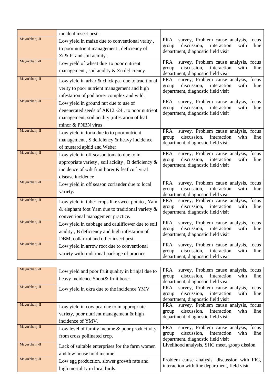|               | incident insect pest.                              |                                                                                                            |
|---------------|----------------------------------------------------|------------------------------------------------------------------------------------------------------------|
| Mayurbhanj-II | Low yield in maize due to conventional verity,     | <b>PRA</b><br>survey, Problem cause analysis, focus                                                        |
|               | to poor nutrient management, deficiency of         | discussion,<br>interaction<br>with<br>line<br>group<br>department, diagnostic field visit                  |
|               | $Zn& P$ and soil acidity.                          |                                                                                                            |
| Mayurbhanj-II | Low yield of wheat due to poor nutrient            | survey, Problem cause analysis, focus<br><b>PRA</b>                                                        |
|               | management, soil acidity & Zn deficiency           | discussion,<br>interaction<br>with<br>line<br>group                                                        |
| Mayurbhanj-II |                                                    | department, diagnostic field visit<br><b>PRA</b><br>survey, Problem cause analysis, focus                  |
|               | Low yield in arhar & chick pea due to traditional  | discussion,<br>interaction<br>with<br>line<br>group                                                        |
|               | verity to poor nutrient management and high        | department, diagnostic field visit                                                                         |
| Mayurbhanj-II | infestation of pod borer complex and wild.         |                                                                                                            |
|               | Low yield in ground nut due to use of              | <b>PRA</b><br>survey, Problem cause analysis, focus<br>discussion,<br>interaction<br>with<br>line<br>group |
|               | degenerated seeds of AK12 -24, to poor nutrient    | department, diagnostic field visit                                                                         |
|               | management, soil acidity , infestation of leaf     |                                                                                                            |
|               | minor & PNBN virus.                                |                                                                                                            |
| Mayurbhanj-II | Low yield in toria due to to poor nutrient         | <b>PRA</b><br>survey, Problem cause analysis, focus                                                        |
|               | management, S deficiency & heavy incidence         | discussion,<br>interaction<br>with<br>line<br>group<br>department, diagnostic field visit                  |
|               | of mustard aphid and Weber                         |                                                                                                            |
| Mayurbhanj-II | Low yield in off season tomato due to in           | survey, Problem cause analysis, focus<br><b>PRA</b>                                                        |
|               | appropriate variety, soil acidity, B deficiency &  | discussion,<br>interaction<br>line<br>with<br>group                                                        |
|               | incidence of wilt fruit borer & leaf curl viral    | department, diagnostic field visit                                                                         |
|               | disease incidence                                  |                                                                                                            |
| Mayurbhanj-II | Low yield in off season coriander due to local     | <b>PRA</b><br>survey, Problem cause analysis, focus                                                        |
|               | variety.                                           | discussion,<br>interaction<br>with<br>line<br>group                                                        |
| Mayurbhanj-II |                                                    | department, diagnostic field visit                                                                         |
|               | Low yield in tuber crops like sweet potato, Yam    | <b>PRA</b><br>survey, Problem cause analysis, focus<br>discussion,<br>interaction<br>with<br>line<br>group |
|               | & elephant foot Yam due to traditional variety &   | department, diagnostic field visit                                                                         |
|               | conventional management practice.                  |                                                                                                            |
| Mayurbhanj-II | Low yield in cabbage and cauliflower due to soil   | <b>PRA</b><br>survey, Problem cause analysis, focus<br>discussion,<br>interaction<br>with                  |
|               | acidity, B deficiency and high infestation of      | line<br>group<br>department, diagnostic field visit                                                        |
|               | DBM, collar rot and other insect pest.             |                                                                                                            |
| Mayurbhanj-II | Low yield in arrow root due to conventional        | <b>PRA</b><br>survey, Problem cause analysis, focus                                                        |
|               | variety with traditional package of practice       | discussion,<br>interaction<br>with<br>line<br>group<br>department, diagnostic field visit                  |
|               |                                                    |                                                                                                            |
| Mayurbhanj-II | Low yield and poor fruit quality in brinjal due to | <b>PRA</b><br>survey, Problem cause analysis, focus                                                        |
|               |                                                    | discussion,<br>interaction<br>with<br>line<br>group                                                        |
|               | heavy incidence Shoot& fruit borer.                | department, diagnostic field visit                                                                         |
| Mayurbhanj-II | Low yield in okra due to the incidence YMV         | <b>PRA</b><br>survey, Problem cause analysis, focus                                                        |
|               |                                                    | discussion,<br>interaction<br>with<br>line<br>group<br>department, diagnostic field visit                  |
| Mayurbhanj-II |                                                    | <b>PRA</b><br>survey, Problem cause analysis, focus                                                        |
|               | Low yield in cow pea due to in appropriate         | discussion,<br>interaction<br>with<br>line<br>group                                                        |
|               | variety, poor nutrient management & high           | department, diagnostic field visit                                                                         |

|               | LOW YICKLED ONE QUE TO THE HICKCHILL TIME.                                                                     | interaction<br>with<br>line<br>discussion,<br>group<br>department, diagnostic field visit                                                        |
|---------------|----------------------------------------------------------------------------------------------------------------|--------------------------------------------------------------------------------------------------------------------------------------------------|
| Mayurbhanj-II | Low yield in cow pea due to in appropriate<br>variety, poor nutrient management $\&$ high<br>incidence of YMV. | survey, Problem cause analysis, focus<br><b>PRA</b><br>interaction<br>with<br>line<br>discussion,<br>group<br>department, diagnostic field visit |
| Mayurbhanj-II | Low level of family income $\&$ poor productivity<br>from cross pollinated crop.                               | <b>PRA</b><br>survey, Problem cause analysis, focus<br>interaction<br>line<br>discussion,<br>with<br>group<br>department, diagnostic field visit |
| Mayurbhanj-II | Lack of suitable enterprises for the farm women<br>and low house hold income                                   | Livelihood analysis, SHG meet, group dission.                                                                                                    |
| Mayurbhanj-II | Low egg production, slower growth rate and<br>high mortality in local birds.                                   | Problem cause analysis, discussion with FIG,<br>interaction with line department, field visit.                                                   |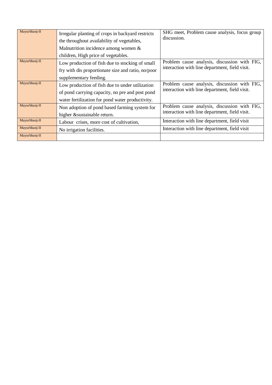| Mayurbhanj-II | Irregular planting of crops in backyard restricts<br>the throughout availability of vegetables,<br>Malnutrition incidence among women $\&$ | SHG meet, Problem cause analysis, focus group<br>discussion.                                   |
|---------------|--------------------------------------------------------------------------------------------------------------------------------------------|------------------------------------------------------------------------------------------------|
| Mayurbhanj-II | children, High price of vegetables.                                                                                                        |                                                                                                |
|               | Low production of fish due to stocking of small                                                                                            | Problem cause analysis, discussion with FIG,<br>interaction with line department, field visit. |
|               | fry with dis proportionate size and ratio, no/poor                                                                                         |                                                                                                |
|               | supplementary feeding.                                                                                                                     |                                                                                                |
| Mayurbhanj-II | Low production of fish due to under utilization                                                                                            | Problem cause analysis, discussion with FIG,                                                   |
|               | of pond carrying capacity, no pre and post pond                                                                                            | interaction with line department, field visit.                                                 |
|               | water fertilization for pond water productivity.                                                                                           |                                                                                                |
| Mayurbhanj-II | Non adoption of pond based farming system for                                                                                              | Problem cause analysis, discussion with FIG,                                                   |
|               | higher & sustainable return.                                                                                                               | interaction with line department, field visit.                                                 |
| Mayurbhanj-II | Labour crises, more cost of cultivation,                                                                                                   | Interaction with line department, field visit                                                  |
| Mayurbhanj-II | No irrigation facilities.                                                                                                                  | Interaction with line department, field visit                                                  |
| Mayurbhanj-II |                                                                                                                                            |                                                                                                |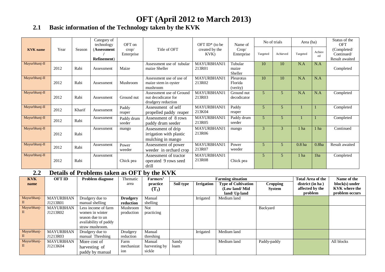# **OFT (April 2012 to March 2013)**

# **2.1 Basic information of the Technology taken by the KVK**

|                 |      |        | Category of<br>technology          | OFT on                       |                                                                       | OFT $ID^*$ (to be            | Name of                          |          | No of trials | Area (ha)         |                   | Status of the<br>OFT                        |
|-----------------|------|--------|------------------------------------|------------------------------|-----------------------------------------------------------------------|------------------------------|----------------------------------|----------|--------------|-------------------|-------------------|---------------------------------------------|
| <b>KVK</b> name | Year | Season | (Assessment<br><b>Refinement</b> ) | $\text{crop}/$<br>Enterprise | Title of OFT                                                          | created by the<br>KVK)       | Crop/<br>Enterprise              | Targeted | Achieved     | Targeted          | Achiev<br>ed      | (Completed/<br>Continued/<br>Result awaited |
| Mayurbhanj-II   | 2012 | Rabi   | Assessment                         | Maize                        | Assessment use of tubular<br>maize Sheller                            | MAYURBHANJ1<br>213R01        | Tubular<br>maize<br>Sheller      | 10       | 10           | N.A               | N.A               | Completed                                   |
| Mayurbhanj-II   | 2012 | Rabi   | Assessment                         | Mushroom                     | Assessment use of use of<br>maize stem in oyster<br>mushroom          | <b>MAYURBHANJ1</b><br>213R02 | Pleurotus<br>Florida<br>(verity) | 10       | 10           | N.A               | N.A               |                                             |
| Mayurbhanj-II   | 2012 | Rabi   | Assessment                         | Ground nut                   | Assessment use of Ground<br>nut decodicator for<br>drudgery reduction | MAYURBHANJ1<br>213R03        | Ground nut<br>decodicator        | 5        | 5            | N.A               | N.A               | Completed                                   |
| Mayurbhanj-II   | 2012 | Kharif | Assessment                         | Paddy<br>reaper              | Assessment of self<br>propelled paddy reaper                          | MAYURBHANJ1<br>213K04        | Paddy<br>reaper                  | 5        | 5            |                   |                   | Completed                                   |
| Mayurbhanj-II   | 2012 | Rabi   | Assessment                         | Paddy drum<br>seeder         | Assessment of 8 rows<br>paddy drum seeder                             | MAYURBHANJ1<br>213R05        | Paddy drum<br>seeder             | 5        | 5            |                   |                   | Completed                                   |
| Mayurbhanj-II   | 2012 | Rabi   | Assessment                         | mango                        | Assessment of drip<br>irrigation with plastic<br>mulching in mango    | MAYURBHANJ1<br>213R06        | mango                            | 3        | 3            | 1 ha              | 1 ha              | Continued                                   |
| Mayurbhanj-II   | 2012 | Rabi   | Assessment                         | Power<br>weeder              | Assessment of power<br>weeder in orchard crop                         | MAYURBHANJ1<br>213R07        | Power<br>weeder                  | 5        | 5            | 0.8 <sub>ha</sub> | 0.8 <sub>ha</sub> | Result awaited                              |
| Mayurbhanj-II   | 2012 | Rabi   | Assessment                         | Chick pea                    | Assessment of tractor<br>operated 9 rows seed<br>drill                | MAYURBHANJ1<br>213R08        | Chick pea                        | 5        | 5            | 1 ha              | 1ha               | Completed                                   |

# **2.2 Details of Problems taken as OFT by the KVK**

| <b>KVK</b>       | <b>OFT ID</b>                | Problem diagnose                                                                                       | Thematic                     | Farmers'                          |               |                   | <b>Farming situation</b>                                     |                                  | <b>Total Area of the</b>                       | Name of the                                              |
|------------------|------------------------------|--------------------------------------------------------------------------------------------------------|------------------------------|-----------------------------------|---------------|-------------------|--------------------------------------------------------------|----------------------------------|------------------------------------------------|----------------------------------------------------------|
| name             |                              |                                                                                                        | area                         | practice<br>$(T_1)$               | Soil type     | <b>Irrigation</b> | <b>Type of Cultivation</b><br>(Low land/Mid<br>land/ Up land | <b>Cropping</b><br><b>System</b> | district (in ha)<br>affected by the<br>problem | block(s) under<br><b>KVK</b> where the<br>problem occurs |
| Mayurbhanj-      | <b>MAYURBHAN</b><br>J1213R01 | Drudgery due to<br>manual shelling                                                                     | <b>Drudgery</b><br>reduction | Manual<br>shelling                |               | Irrigated         | Medium land                                                  |                                  |                                                |                                                          |
| Mayurbhanj-<br>Ш | <b>MAYURBHAN</b><br>J1213R02 | Less income of farm<br>women in winter<br>season due to un<br>availability of paddy<br>straw mushroom. | Mushroom<br>production       | Not<br>practicing                 |               |                   |                                                              | Backyard                         |                                                |                                                          |
| Mayurbhanj-      | <b>MAYURBHAN</b><br>J1213R03 | Drudgery due to<br>manual Threshing                                                                    | Drudgery<br>reduction        | Manual<br>threshing               |               | Irrigated         | Medium land                                                  |                                  |                                                |                                                          |
| Mayurbhanj-<br>П | <b>MAYURBHAN</b><br>J1213K04 | More cost of<br>harvesting of<br>paddy by manual                                                       | Farm<br>mechanizat<br>ion    | Manual<br>harvesting by<br>sickle | Sandy<br>loam |                   | Medium land                                                  | Paddy-paddy                      |                                                | All blocks                                               |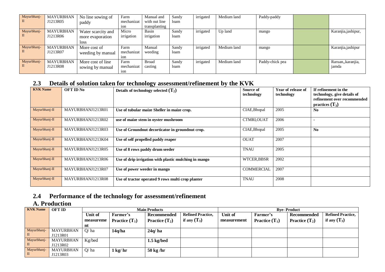| Mayurbhanj- | <b>MAYURBHAN</b> | No line sowing of  | Farm             | Manual and    | Sandy | irrigated | Medium land | Paddy-paddy     |                     |
|-------------|------------------|--------------------|------------------|---------------|-------|-----------|-------------|-----------------|---------------------|
|             | J1213R05         | paddy              | mechanizat       | with out line | loam  |           |             |                 |                     |
|             |                  |                    | 10 <sub>n</sub>  | transplanting |       |           |             |                 |                     |
| Mayurbhanj- | <b>MAYURBHAN</b> | Water scarcity and | Micro            | Basin         | Sandy | irrigated | Up land     | mango           | Karanjia, jashipur, |
|             | J1213R06         | more evaporation   | irrigation       | irrigation    | loam  |           |             |                 |                     |
|             |                  | <b>loss</b>        |                  |               |       |           |             |                 |                     |
| Mayurbhanj- | <b>MAYURBHAN</b> | More cost of       | Farm             | Manual        | Sandy | irrigated | Medium land | mango           | Karanjia, jashipur  |
|             | J1213R07         | weeding by manual  | mechanizat       | weeding       | loam  |           |             |                 |                     |
|             |                  |                    | 1 <sub>O</sub> n |               |       |           |             |                 |                     |
| Mayurbhanj- | <b>MAYURBHAN</b> | More cost of line  | Farm             | <b>Broad</b>  | Sandy | irrigated | Medium land | Paddy-chick pea | Raruan,, karanjia,  |
|             | J1213R08         | sowing by manual   | mechanizat       | casting       | loam  |           |             |                 | jamda               |
|             |                  |                    | ion              |               |       |           |             |                 |                     |

### **2.3 Details of solution taken for technology assessment/refinement by the KVK**

| <b>KVK Name</b> | <b>OFT ID No</b>  | Details of technology selected $(T_2)$                | Source of<br>technology | Year of release of<br>technology | If refinement in the<br>technology, give details of<br>refinement over recommended<br>practices $(T_3)$ |
|-----------------|-------------------|-------------------------------------------------------|-------------------------|----------------------------------|---------------------------------------------------------------------------------------------------------|
| Mayurbhanj-II   | MAYURBHANJ1213R01 | Use of tubular maize Sheller in maize crop.           | CIAE, Bhopal            | 2005                             | N <sub>0</sub>                                                                                          |
| Mayurbhanj-II   | MAYURBHANJ1213R02 | use of maize stem in oyster mushroom                  | CTMRI, OUAT             | 2006                             |                                                                                                         |
| Mayurbhanj-II   | MAYURBHANJ1213R03 | Use of Groundnut decorticator in groundnut crop.      | CIAE, Bhopal            | 2005                             | $\mathbf{N}\mathbf{0}$                                                                                  |
| Mayurbhanj-II   | MAYURBHANJ1213K04 | Use of self propelled paddy reaper                    | <b>OUAT</b>             | 2007                             |                                                                                                         |
| Mayurbhanj-II   | MAYURBHANJ1213R05 | Use of 8 rows paddy drum seeder                       | <b>TNAU</b>             | 2005                             |                                                                                                         |
| Mayurbhanj-II   | MAYURBHANJ1213R06 | Use of drip irrigation with plastic mulching in mango | WTCER, BBSR             | 2002                             |                                                                                                         |
| Mayurbhanj-II   | MAYURBHANJ1213R07 | Use of power weeder in mango                          | <b>COMMERCIAL</b>       | 2007                             |                                                                                                         |
| Mayurbhanj-II   | MAYURBHANJ1213R08 | Use of tractor operated 9 rows multi crop planter     | <b>TNAU</b>             | 2008                             |                                                                                                         |

# **2.4 Performance of the technology for assessment/refinement**

# **A. Production**

| <b>KVK Name</b>  | <b>OFT ID</b>                |           |                         | <b>Main Products</b>    |                          | <b>Bve-Product</b> |                         |                         |                          |  |  |  |  |
|------------------|------------------------------|-----------|-------------------------|-------------------------|--------------------------|--------------------|-------------------------|-------------------------|--------------------------|--|--|--|--|
|                  |                              | Unit of   | Farmer's                | <b>Recommended</b>      | <b>Refined Practice,</b> | Unit of            | Farmer's                | Recommended             | <b>Refined Practice,</b> |  |  |  |  |
|                  |                              | measureme | <b>Practice</b> $(T_1)$ | <b>Practice</b> $(T_2)$ | if any $(T_3)$           | measurement        | <b>Practice</b> $(T_1)$ | <b>Practice</b> $(T_2)$ | if any $(T_3)$           |  |  |  |  |
|                  |                              | nt        |                         |                         |                          |                    |                         |                         |                          |  |  |  |  |
| Mayurbhanj-<br>П | <b>MAYURBHAN</b><br>J1213R01 | O/ha      | 14q/ha                  | 24q/ha                  |                          |                    |                         |                         |                          |  |  |  |  |
| Mayurbhanj-<br>П | <b>MAYURBHAN</b><br>J1213R02 | Kg/bed    |                         | $1.5$ kg/bed            |                          |                    |                         |                         |                          |  |  |  |  |
| Mayurbhanj-<br>П | <b>MAYURBHAN</b><br>J1213R03 | Q/ha      | $1 \text{ kg/hr}$       | $50 \text{ kg/hr}$      |                          |                    |                         |                         |                          |  |  |  |  |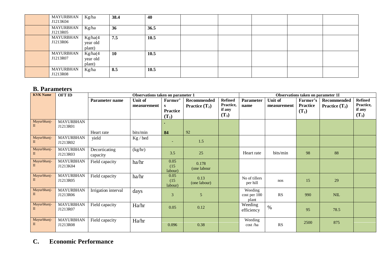| <b>MAYURBHAN</b><br>J1213K04 | Kg/ha                         | 38.4 | 40   |  |  |  |
|------------------------------|-------------------------------|------|------|--|--|--|
| <b>MAYURBHAN</b><br>J1213R05 | Kg/ha                         | 36   | 36.5 |  |  |  |
| MAYURBHAN<br>J1213R06        | Kg/ha(4<br>year old<br>plant) | 7.5  | 10.5 |  |  |  |
| MAYURBHAN<br>J1213R07        | Kg/ha(4<br>year old<br>plant) | 10   | 10.5 |  |  |  |
| <b>MAYURBHAN</b><br>J1213R08 | Kg/ha                         | 8.5  | 10.5 |  |  |  |

#### **B. Parameters**

| <b>KVK Name</b>             | <b>OFT ID</b>                |                           | Observations taken on parameter 1 |                                                       |                                               |                                                  |                                  |                        | Observations taken on parameter 1I     |                                 |                                                  |
|-----------------------------|------------------------------|---------------------------|-----------------------------------|-------------------------------------------------------|-----------------------------------------------|--------------------------------------------------|----------------------------------|------------------------|----------------------------------------|---------------------------------|--------------------------------------------------|
|                             |                              | Parameter name            | Unit of<br>measurement            | Farmer'<br><sub>S</sub><br><b>Practice</b><br>$(T_1)$ | <b>Recommended</b><br><b>Practice</b> $(T_2)$ | <b>Refined</b><br>Practice,<br>if any<br>$(T_3)$ | <b>Parameter</b><br>name         | Unit of<br>measurement | Farmer's<br><b>Practice</b><br>$(T_1)$ | Recommended<br>Practice $(T_2)$ | <b>Refined</b><br>Practice,<br>if any<br>$(T_3)$ |
| Mayurbhanj-<br>П.           | <b>MAYURBHAN</b><br>J1213R01 | Heart rate                | bits/min                          | 84                                                    | 92                                            |                                                  |                                  |                        |                                        |                                 |                                                  |
| Mayurbhanj-<br>П            | <b>MAYURBHAN</b><br>J1213R02 | yield                     | Kg / bed                          |                                                       | 1.5                                           |                                                  |                                  |                        |                                        |                                 |                                                  |
| Mayurbhanj-<br>П            | <b>MAYURBHAN</b><br>J1213R03 | Decorticating<br>capacity | (kg/hr)                           | 3.5                                                   | 25                                            |                                                  | Heart rate                       | bits/min               | 98                                     | 88                              |                                                  |
| Mayurbhanj-<br>П            | <b>MAYURBHAN</b><br>J1213K04 | Field capacity            | ha/hr                             | 0.05<br>(15)<br>labour)                               | 0.178<br>(one labour                          |                                                  |                                  |                        |                                        |                                 |                                                  |
| Mayurbhanj-<br>$\mathbf{I}$ | <b>MAYURBHAN</b><br>J1213R05 | Field capacity            | ha/hr                             | 0.05<br>(15)<br>labour)                               | 0.13<br>(one labour)                          |                                                  | No of tillers<br>per hill        | nos                    | 15                                     | 29                              |                                                  |
| Mayurbhanj-<br>П            | <b>MAYURBHAN</b><br>J1213R06 | Irrigation interval       | days                              | 3                                                     | 5                                             |                                                  | Weeding<br>cost per 100<br>plant | <b>RS</b>              | 990                                    | <b>NIL</b>                      |                                                  |
| Mayurbhanj-<br>П            | <b>MAYURBHAN</b><br>J1213R07 | Field capacity            | Ha/hr                             | 0.05                                                  | 0.12                                          |                                                  | Weeding<br>efficiency            | $\%$                   | 95                                     | 78.5                            |                                                  |
| Mayurbhanj-<br>П            | <b>MAYURBHAN</b><br>J1213R08 | Field capacity            | Ha/hr                             | 0.096                                                 | 0.38                                          |                                                  | Weeding<br>cost /ha              | RS                     | 2500                                   | 875                             |                                                  |

# **C. Economic Performance**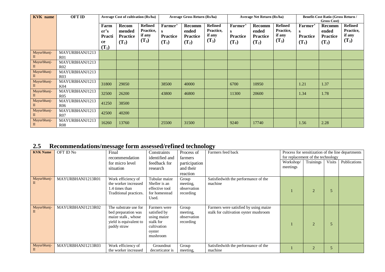| <b>KVK</b> name  | <b>OFT ID</b>                     |                                         | <b>Average Cost of cultivation (Rs/ha)</b> |                                                  |                                            | <b>Average Gross Return (Rs/ha)</b>                  |                                                  |                                            | <b>Average Net Return (Rs/ha)</b>             |                                                  |                                             | <b>Benefit-Cost Ratio (Gross Return /</b><br><b>Gross Cost</b> ) |                                                  |
|------------------|-----------------------------------|-----------------------------------------|--------------------------------------------|--------------------------------------------------|--------------------------------------------|------------------------------------------------------|--------------------------------------------------|--------------------------------------------|-----------------------------------------------|--------------------------------------------------|---------------------------------------------|------------------------------------------------------------------|--------------------------------------------------|
|                  |                                   | Farm<br>er's<br>Practi<br>ce<br>$(T_1)$ | Recom<br>mended<br>Practice<br>$(T_2)$     | <b>Refined</b><br>Practice,<br>if any<br>$(T_3)$ | Farmer'<br>s<br><b>Practice</b><br>$(T_1)$ | <b>Recomm</b><br>ended<br><b>Practice</b><br>$(T_2)$ | <b>Refined</b><br>Practice,<br>if any<br>$(T_3)$ | Farmer'<br>S<br><b>Practice</b><br>$(T_1)$ | Recomm<br>ended<br><b>Practice</b><br>$(T_2)$ | <b>Refined</b><br>Practice,<br>if any<br>$(T_3)$ | Farmer'<br>S.<br><b>Practice</b><br>$(T_1)$ | Recomm<br>ended<br><b>Practice</b><br>$(T_2)$                    | <b>Refined</b><br>Practice,<br>if any<br>$(T_3)$ |
| Mayurbhanj-<br>П | MAYURBHANJ1213<br>R <sub>01</sub> |                                         |                                            |                                                  |                                            |                                                      |                                                  |                                            |                                               |                                                  |                                             |                                                                  |                                                  |
| Mayurbhanj-      | MAYURBHANJ1213<br>R <sub>02</sub> |                                         |                                            |                                                  |                                            |                                                      |                                                  |                                            |                                               |                                                  |                                             |                                                                  |                                                  |
| Mayurbhanj-      | MAYURBHANJ1213<br>R <sub>03</sub> |                                         |                                            |                                                  |                                            |                                                      |                                                  |                                            |                                               |                                                  |                                             |                                                                  |                                                  |
| Mayurbhanj-      | MAYURBHANJ1213<br>K04             | 31800                                   | 29050                                      |                                                  | 38500                                      | 40000                                                |                                                  | 6700                                       | 10950                                         |                                                  | 1.21                                        | 1.37                                                             |                                                  |
| Mayurbhanj-<br>П | MAYURBHANJ1213<br>R <sub>05</sub> | 32500                                   | 26200                                      |                                                  | 43800                                      | 46800                                                |                                                  | 11300                                      | 20600                                         |                                                  | 1.34                                        | 1.78                                                             |                                                  |
| Mayurbhanj-<br>П | MAYURBHANJ1213<br>R <sub>06</sub> | 41250                                   | 38500                                      |                                                  |                                            |                                                      |                                                  |                                            |                                               |                                                  |                                             |                                                                  |                                                  |
| Mayurbhanj-      | MAYURBHANJ1213<br>R <sub>07</sub> | 42500                                   | 40200                                      |                                                  |                                            |                                                      |                                                  |                                            |                                               |                                                  |                                             |                                                                  |                                                  |
| Mayurbhanj-<br>П | MAYURBHANJ1213<br><b>R08</b>      | 16260                                   | 13760                                      |                                                  | 25500                                      | 31500                                                |                                                  | 9240                                       | 17740                                         |                                                  | 1.56                                        | 2.28                                                             |                                                  |

# **2.5 Recommendations/message form assessed/refined technology**

| <b>KVK Name</b> | OFT ID No         | ా                      |                 |               | ~<br>Farmers feed back                |                                   |               |               |                                                   |
|-----------------|-------------------|------------------------|-----------------|---------------|---------------------------------------|-----------------------------------|---------------|---------------|---------------------------------------------------|
|                 |                   | Final                  | Constraints     | Process of    |                                       |                                   |               |               | Process for sensitization of the line departments |
|                 |                   | recommendation         | identified and  | farmers       |                                       | for replacement of the technology |               |               |                                                   |
|                 |                   | for micro level        | feedback for    | participation |                                       | Workshop/                         | Trainings     | <b>Visits</b> | Publications                                      |
|                 |                   | situation              | research        | and their     |                                       | meetings                          |               |               |                                                   |
|                 |                   |                        |                 | reaction      |                                       |                                   |               |               |                                                   |
| Mayurbhanj-     | MAYURBHANJ1213R01 | Work efficiency of     | Tubular maize   | Group         | Satisfied with the performance of the |                                   |               |               |                                                   |
|                 |                   | the worker increased   | Sheller is an   | meeting,      | machine                               |                                   |               |               |                                                   |
|                 |                   | 1.4 times than         | effective tool  | observation   |                                       |                                   | $\mathcal{D}$ | 5             |                                                   |
|                 |                   | Traditional practices. | for homestead   | recording     |                                       |                                   |               |               |                                                   |
|                 |                   |                        | Used.           |               |                                       |                                   |               |               |                                                   |
|                 |                   |                        |                 |               |                                       |                                   |               |               |                                                   |
| Mayurbhanj-     | MAYURBHANJ1213R02 | The substrate use for  | Farmers were    | Group         | Farmers were satisfied by using maize |                                   |               |               |                                                   |
|                 |                   | bed preparation was    | satisfied by    | meeting,      | stalk for cultivation oyster mushroom |                                   |               |               |                                                   |
|                 |                   | maize stalk, whose     | using maize     | observation   |                                       |                                   |               |               |                                                   |
|                 |                   | yield is equivalent to | stalk for       | recording     |                                       |                                   | $\mathcal{D}$ | 5             |                                                   |
|                 |                   | paddy straw            | cultivation     |               |                                       |                                   |               |               |                                                   |
|                 |                   |                        | oyster          |               |                                       |                                   |               |               |                                                   |
|                 |                   |                        | mushroom        |               |                                       |                                   |               |               |                                                   |
|                 |                   |                        |                 |               |                                       |                                   |               |               |                                                   |
| Mayurbhanj-     | MAYURBHANJ1213R03 | Work efficiency of     | Groundnut       | Group         | Satisfied with the performance of the |                                   |               |               |                                                   |
|                 |                   | the worker increased   | decorticator is | meeting,      | machine                               |                                   |               |               |                                                   |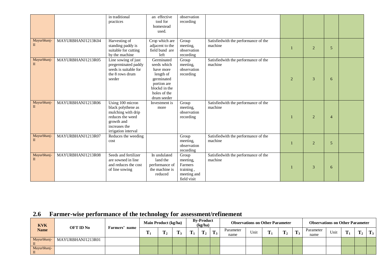|                             |                   | in traditional<br>practices                                                                                                            | an effective<br>tool for<br>homestead<br>used.                                                                                   | observation<br>recording                                                |                                                 |                |                |                |  |
|-----------------------------|-------------------|----------------------------------------------------------------------------------------------------------------------------------------|----------------------------------------------------------------------------------------------------------------------------------|-------------------------------------------------------------------------|-------------------------------------------------|----------------|----------------|----------------|--|
| Mayurbhanj-<br>П            | MAYURBHANJ1213K04 | Harvesting of<br>standing paddy is<br>suitable for cutting<br>by the machine                                                           | Crop which are<br>adjacent to the<br>field bund are<br>left                                                                      | Group<br>meeting,<br>observation<br>recording                           | Satisfiedwith the performance of the<br>machine |                | $\overline{2}$ | 5              |  |
| Mayurbhanj-<br>$\mathbf{I}$ | MAYURBHANJ1213R05 | Line sowing of just<br>pregerminated paddy<br>seeds is suitable for<br>the 8 rows drum<br>seeder                                       | Germinated<br>seeds which<br>have more<br>length of<br>germinated<br>portion are<br>blockd in the<br>holes of the<br>drum seeder | Group<br>meeting,<br>observation<br>recording                           | Satisfiedwith the performance of the<br>machine | $\overline{2}$ | 3              | 6              |  |
| Mayurbhanj-<br>$\Pi$        | MAYURBHANJ1213R06 | Using 100 micron<br>black polythene as<br>mulching with drip<br>reduces the weed<br>growth and<br>increases the<br>irrigation interval | Investment is<br>more                                                                                                            | Group<br>meeting,<br>observation<br>recording                           | Satisfiedwith the performance of the<br>machine |                | $\overline{2}$ | $\overline{4}$ |  |
| Mayurbhanj-<br>$\mathbf{I}$ | MAYURBHANJ1213R07 | Reduces the weeding<br>cost                                                                                                            |                                                                                                                                  | Group<br>meeting,<br>observation<br>recording                           | Satisfiedwith the performance of the<br>machine |                | $\overline{2}$ | 5              |  |
| Mayurbhanj-<br>$\mathbf{I}$ | MAYURBHANJ1213R08 | Seeds and fertilizer<br>are sowned in line<br>and reduces the cost<br>of line sowing                                                   | In undulated<br>land the<br>performance of<br>the machine is<br>reduced                                                          | Group<br>meeting,<br>Farmers<br>training,<br>meeting and<br>field visit | Satisfiedwith the performance of the<br>machine |                | 3              | 6              |  |

# **2.6 Farmer-wise performance of the technology for assessment/refinement**

| <b>KVK</b>       | <b>OFT ID No</b>  | <b>Farmers</b><br>name | Main Product (kg/ha) |   |   |                   | <b>By-Product</b><br>(kg/ha) |       |                   | <b>Observations on Other Parameter</b> |   |   |   | <b>Observations on Other Parameter</b> |      |   |   |                |
|------------------|-------------------|------------------------|----------------------|---|---|-------------------|------------------------------|-------|-------------------|----------------------------------------|---|---|---|----------------------------------------|------|---|---|----------------|
| <b>Name</b>      |                   |                        | m<br>д.              | m | m | m<br>$\mathbf{r}$ | m                            | $T_3$ | Parameter<br>name | Unit                                   | m | m | m | Parameter<br>name                      | Unit | m | m | m<br>$\perp$ 3 |
| Mayurbhanj-      | MAYURBHANJ1213R01 |                        |                      |   |   |                   |                              |       |                   |                                        |   |   |   |                                        |      |   |   |                |
| Mayurbhanj-<br>П |                   |                        |                      |   |   |                   |                              |       |                   |                                        |   |   |   |                                        |      |   |   |                |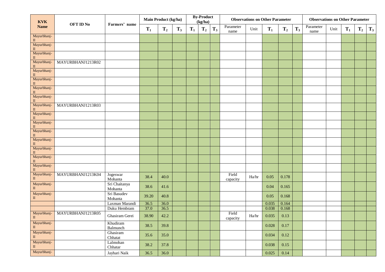| <b>KVK</b><br><b>Name</b>   | OFT ID No         | Farmers' name            | Main Product (kg/ha) |         |       |       | <b>By-Product</b><br>(kg/ha) |       |                   | <b>Observations on Other Parameter</b> |       |                |       | <b>Observations on Other Parameter</b> |      |                |                |       |
|-----------------------------|-------------------|--------------------------|----------------------|---------|-------|-------|------------------------------|-------|-------------------|----------------------------------------|-------|----------------|-------|----------------------------------------|------|----------------|----------------|-------|
|                             |                   |                          | $T_1$                | $T_{2}$ | $T_3$ | $T_1$ | $T_2$                        | $T_3$ | Parameter<br>name | Unit                                   | $T_1$ | T <sub>2</sub> | $T_3$ | Parameter<br>name                      | Unit | $\mathbf{T}_1$ | T <sub>2</sub> | $T_3$ |
| Mayurbhanj-<br>$\;$ II      |                   |                          |                      |         |       |       |                              |       |                   |                                        |       |                |       |                                        |      |                |                |       |
| Mayurbhanj-<br>$\mathbf{I}$ |                   |                          |                      |         |       |       |                              |       |                   |                                        |       |                |       |                                        |      |                |                |       |
| Mayurbhanj-<br>П            |                   |                          |                      |         |       |       |                              |       |                   |                                        |       |                |       |                                        |      |                |                |       |
| Mayurbhanj-<br>$\mathbf{I}$ | MAYURBHANJ1213R02 |                          |                      |         |       |       |                              |       |                   |                                        |       |                |       |                                        |      |                |                |       |
| Mayurbhanj-<br>$\mathbf{I}$ |                   |                          |                      |         |       |       |                              |       |                   |                                        |       |                |       |                                        |      |                |                |       |
| Mayurbhanj-<br>$\;$ II      |                   |                          |                      |         |       |       |                              |       |                   |                                        |       |                |       |                                        |      |                |                |       |
| Mayurbhanj-<br>$\;$ II      |                   |                          |                      |         |       |       |                              |       |                   |                                        |       |                |       |                                        |      |                |                |       |
| Mayurbhanj-<br>$\mathbf{I}$ |                   |                          |                      |         |       |       |                              |       |                   |                                        |       |                |       |                                        |      |                |                |       |
| Mayurbhanj-<br>$\mathbf{I}$ | MAYURBHANJ1213R03 |                          |                      |         |       |       |                              |       |                   |                                        |       |                |       |                                        |      |                |                |       |
| Mayurbhanj-<br>П            |                   |                          |                      |         |       |       |                              |       |                   |                                        |       |                |       |                                        |      |                |                |       |
| Mayurbhanj-<br>$\mathbf{I}$ |                   |                          |                      |         |       |       |                              |       |                   |                                        |       |                |       |                                        |      |                |                |       |
| Mayurbhanj-<br>$\mathbf{I}$ |                   |                          |                      |         |       |       |                              |       |                   |                                        |       |                |       |                                        |      |                |                |       |
| Mayurbhanj-<br>$\rm II$     |                   |                          |                      |         |       |       |                              |       |                   |                                        |       |                |       |                                        |      |                |                |       |
| Mayurbhanj-<br>$\rm II$     |                   |                          |                      |         |       |       |                              |       |                   |                                        |       |                |       |                                        |      |                |                |       |
| Mayurbhanj-<br>П            |                   |                          |                      |         |       |       |                              |       |                   |                                        |       |                |       |                                        |      |                |                |       |
| Mayurbhanj-<br>П            |                   |                          |                      |         |       |       |                              |       |                   |                                        |       |                |       |                                        |      |                |                |       |
| Mayurbhanj-<br>$\rm II$     | MAYURBHANJ1213K04 | Jogeswar<br>Mohanta      | 38.4                 | 40.0    |       |       |                              |       | Field<br>capacity | Ha/hr                                  | 0.05  | 0.178          |       |                                        |      |                |                |       |
| Mayurbhanj-<br>$\;$ II      |                   | Sri Chaitanya<br>Mohanta | 38.6                 | 41.6    |       |       |                              |       |                   |                                        | 0.04  | 0.165          |       |                                        |      |                |                |       |
| Mayurbhanj-<br>$\mathbf{I}$ |                   | Sri Basudev<br>Mohanta   | 39.20                | 40.8    |       |       |                              |       |                   |                                        | 0.05  | 0.168          |       |                                        |      |                |                |       |
|                             |                   | Laxman Marandi           | 36.5                 | 36.0    |       |       |                              |       |                   |                                        | 0.035 | 0.164          |       |                                        |      |                |                |       |
|                             |                   | Duku Hembram             | 37.0                 | 36.5    |       |       |                              |       |                   |                                        | 0.038 | 0.168          |       |                                        |      |                |                |       |
| Mayurbhanj-<br>$\rm II$     | MAYURBHANJ1213R05 | Ghasiram Gerei           | 38.90                | 42.2    |       |       |                              |       | Field<br>capacity | Ha/hr                                  | 0.035 | 0.13           |       |                                        |      |                |                |       |
| Mayurbhanj-<br>$\rm II$     |                   | Khudiram<br>Balmunch     | 38.5                 | 39.8    |       |       |                              |       |                   |                                        | 0.028 | 0.17           |       |                                        |      |                |                |       |
| Mayurbhanj-<br>$\rm II$     |                   | Ghasiram<br>Chhatat      | 35.6                 | 35.0    |       |       |                              |       |                   |                                        | 0.034 | 0.12           |       |                                        |      |                |                |       |
| Mayurbhanj-<br>$\rm II$     |                   | Lalmohan<br>Chhatar      | 38.2                 | 37.8    |       |       |                              |       |                   |                                        | 0.038 | 0.15           |       |                                        |      |                |                |       |
| Mayurbhanj-                 |                   | Jayhari Naik             | 36.5                 | 36.0    |       |       |                              |       |                   |                                        | 0.025 | 0.14           |       |                                        |      |                |                |       |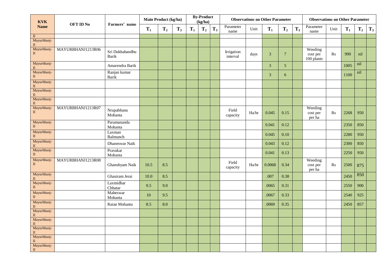| <b>KVK</b>                  | <b>OFT ID No</b>  | Farmers' name                   | Main Product (kg/ha) |       |       |       | <b>By-Product</b><br>(kg/ha) |       |                        |       | <b>Observations on Other Parameter</b> |                |       | <b>Observations on Other Parameter</b> |           |       |         |       |
|-----------------------------|-------------------|---------------------------------|----------------------|-------|-------|-------|------------------------------|-------|------------------------|-------|----------------------------------------|----------------|-------|----------------------------------------|-----------|-------|---------|-------|
| <b>Name</b>                 |                   |                                 | $T_1$                | $T_2$ | $T_3$ | $T_1$ | T <sub>2</sub>               | $T_3$ | Parameter<br>name      | Unit  | $T_1$                                  | $T_2$          | $T_3$ | Parameter<br>name                      | Unit      | $T_1$ | $T_{2}$ | $T_3$ |
|                             |                   |                                 |                      |       |       |       |                              |       |                        |       |                                        |                |       |                                        |           |       |         |       |
| Mayurbhanj-<br>$\mathbf{I}$ |                   |                                 |                      |       |       |       |                              |       |                        |       |                                        |                |       |                                        |           |       |         |       |
| Mayurbhanj-<br>$\rm II$     | MAYURBHANJ1213R06 | Sri Dukhabandhu<br><b>Barik</b> |                      |       |       |       |                              |       | Irrigation<br>interval | days  | 3                                      | $\overline{7}$ |       | Weeding<br>cost per<br>100 plants      | Rs        | 990   | nil     |       |
| Mayurbhanj-<br>$\mathbf{I}$ |                   | Amarendra Barik                 |                      |       |       |       |                              |       |                        |       | $\mathbf{3}$                           | 5 <sub>5</sub> |       |                                        |           | 1005  | nil     |       |
| Mayurbhanj-<br>$\;$ II      |                   | Ranjan kumar<br>Barik           |                      |       |       |       |                              |       |                        |       | 3                                      | 6              |       |                                        |           | 1100  | nil     |       |
| Mayurbhanj-<br>$\mathbf{I}$ |                   |                                 |                      |       |       |       |                              |       |                        |       |                                        |                |       |                                        |           |       |         |       |
| Mayurbhanj-<br>$\rm II$     |                   |                                 |                      |       |       |       |                              |       |                        |       |                                        |                |       |                                        |           |       |         |       |
| Mayurbhanj-<br>$\rm II$     |                   |                                 |                      |       |       |       |                              |       |                        |       |                                        |                |       |                                        |           |       |         |       |
| Mayurbhanj-<br>$\mathbf{I}$ | MAYURBHANJ1213R07 | Nrupabhanu<br>Mohanta           |                      |       |       |       |                              |       | Field<br>capacity      | Ha/hr | 0.045                                  | 0.15           |       | Weeding<br>cost per<br>per ha          | <b>Rs</b> | 2268  | 950     |       |
| Mayurbhanj-<br>$\rm II$     |                   | Paramananda<br>Mohanta          |                      |       |       |       |                              |       |                        |       | 0.041                                  | 0.12           |       |                                        |           | 2350  | 850     |       |
| Mayurbhanj-<br>$\rm II$     |                   | Laxman<br>Balmunch              |                      |       |       |       |                              |       |                        |       | 0.045                                  | 0.10           |       |                                        |           | 2280  | 950     |       |
| Mayurbhanj-<br>$\rm II$     |                   | Dhaneswar Naik                  |                      |       |       |       |                              |       |                        |       | 0.043                                  | 0.12           |       |                                        |           | 2300  | 850     |       |
| Mayurbhanj-<br>$\rm II$     |                   | Pravakar<br>Mohanta             |                      |       |       |       |                              |       |                        |       | 0.041                                  | 0.13           |       |                                        |           | 2250  | 950     |       |
| Mayurbhanj-<br>$\rm II$     | MAYURBHANJ1213R08 | Ghanshyam Naik                  | 10.5                 | 8.5   |       |       |                              |       | Field<br>capacity      | Ha/hr | 0.0068                                 | 0.34           |       | Weeding<br>cost per<br>per ha          | Rs        | 2500  | 875     |       |
| Mayurbhanj-<br>$\;$ II      |                   | Ghasiram Jerai                  | 10.0                 | 8.5   |       |       |                              |       |                        |       | .007                                   | 0.38           |       |                                        |           | 2450  | 850     |       |
| Mayurbhanj-<br>$\;$ II      |                   | Laxmidhar<br>Chhatar            | 9.5                  | 9.0   |       |       |                              |       |                        |       | .0065                                  | 0.31           |       |                                        |           | 2550  | 900     |       |
| Mayurbhanj-<br>$\rm II$     |                   | Maheswar<br>Mohanta             | 10                   | 9.5   |       |       |                              |       |                        |       | .0067                                  | 0.33           |       |                                        |           | 2540  | 925     |       |
| Mayurbhanj-<br>$\rm II$     |                   | Ratan Mohanta                   | 8.5                  | 8.0   |       |       |                              |       |                        |       | .0069                                  | 0.35           |       |                                        |           | 2450  | 857     |       |
| Mayurbhanj-<br>$\rm II$     |                   |                                 |                      |       |       |       |                              |       |                        |       |                                        |                |       |                                        |           |       |         |       |
| Mayurbhanj-<br>$\mathbf{I}$ |                   |                                 |                      |       |       |       |                              |       |                        |       |                                        |                |       |                                        |           |       |         |       |
| Mayurbhanj-<br>$\mathbf{I}$ |                   |                                 |                      |       |       |       |                              |       |                        |       |                                        |                |       |                                        |           |       |         |       |
| Mayurbhanj-<br>$\mathbf{I}$ |                   |                                 |                      |       |       |       |                              |       |                        |       |                                        |                |       |                                        |           |       |         |       |
| Mayurbhanj-<br>$\rm II$     |                   |                                 |                      |       |       |       |                              |       |                        |       |                                        |                |       |                                        |           |       |         |       |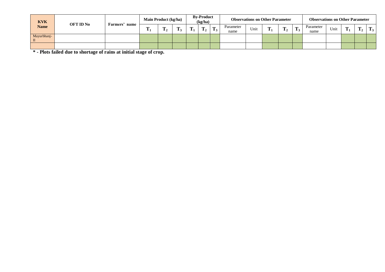| <b>KVK</b>                  |                             |      | Main Product (kg/ha) |   |   |            | <b>By-Product</b><br>(kg/ha) |         |                   | <b>Observations on Other Parameter</b> |    |   | <b>Observations on Other Parameter</b> |      |   |   |                    |
|-----------------------------|-----------------------------|------|----------------------|---|---|------------|------------------------------|---------|-------------------|----------------------------------------|----|---|----------------------------------------|------|---|---|--------------------|
| <b>Name</b>                 | <b>OFT ID No</b><br>Farmers | name | m<br>л.              | m | m | <b>TIP</b> | m                            | m<br>13 | Parameter<br>name | Unit                                   | m. | m | Parameter<br>name                      | Unit | m | m | m<br>$\mathbf{1}3$ |
| Mayurbhanj-<br>$\mathbf{I}$ |                             |      |                      |   |   |            |                              |         |                   |                                        |    |   |                                        |      |   |   |                    |
|                             |                             |      |                      |   |   |            |                              |         |                   |                                        |    |   |                                        |      |   |   |                    |

**\* - Plots failed due to shortage of rains at initial stage of crop.**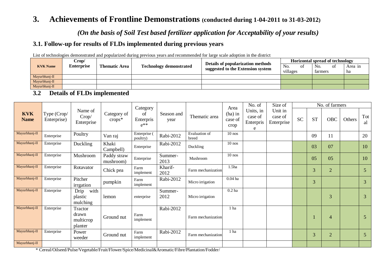# **3. Achievements of Frontline Demonstrations (conducted during 1-04-2011 to 31-03-2012)**

*(On the basis of Soil Test based fertilizer application for Acceptability of your results)*

#### **3.1. Follow-up for results of FLDs implemented during previous years**

List of technologies demonstrated and popularized during previous years and recommended for large scale adoption in the district

| <b>KVK Name</b> | Crop/             |                                                        |  | Details of popularization methods |                      | <b>Horizontal spread of technology</b> |         |
|-----------------|-------------------|--------------------------------------------------------|--|-----------------------------------|----------------------|----------------------------------------|---------|
|                 | <b>Enterprise</b> | <b>Technology demonstrated</b><br><b>Thematic Area</b> |  | suggested to the Extension system | N <sub>0</sub><br>Ωt | No.                                    | Area in |
|                 |                   |                                                        |  |                                   | villages             | farmers                                | ha      |
| Mayurbhanj-II   |                   |                                                        |  |                                   |                      |                                        |         |
| Mayurbhanj-II   |                   |                                                        |  |                                   |                      |                                        |         |
| Mayurbhanj-II   |                   |                                                        |  |                                   |                      |                                        |         |

#### **3.2 Details of FLDs implemented**

|                           |                            |                                          |                          | Category                    |                    |                        | Area                         | No. of                                 | Size of                          |           |           | No. of farmers |        |                |
|---------------------------|----------------------------|------------------------------------------|--------------------------|-----------------------------|--------------------|------------------------|------------------------------|----------------------------------------|----------------------------------|-----------|-----------|----------------|--------|----------------|
| <b>KVK</b><br><b>Name</b> | Type (Crop/<br>Enterprise) | Name of<br>Crop/<br>Enterprise           | Category of<br>$crops*$  | of<br>Enterpris<br>$e^{**}$ | Season and<br>year | Thematic area          | $(ha)$ in<br>case of<br>crop | Units, in<br>case of<br>Enterpris<br>e | Unit in<br>case of<br>Enterprise | <b>SC</b> | <b>ST</b> | <b>OBC</b>     | Others | Tot<br>al      |
| Mayurbhanj-II             | Enterprise                 | Poultry                                  | Van raj                  | Enterprise (<br>poultry)    | Rabi-2012          | Evaluation of<br>breed | $10$ nos                     |                                        |                                  |           | 09        | 11             |        | 20             |
| Mayurbhanj-II             | Enterprise                 | Duckling                                 | Khaki<br>Campbell)       | Enterprise                  | Rabi-2012          | Duckling               | $10$ nos                     |                                        |                                  |           | 03        | 07             |        | 10             |
| Mayurbhanj-II             | Enterprise                 | Mushroom                                 | Paddy straw<br>mushroom) | Enterprise                  | Summer-<br>2013    | Mushroom               | $10$ nos                     |                                        |                                  |           | 05        | 05             |        | 10             |
| Mayurbhanj-II             | Enterprise                 | Rotavator                                | Chick pea                | Farm<br>implement           | Kharif-<br>2012    | Farm mechanization     | 1.5 <sub>ha</sub>            |                                        |                                  |           | 3         | $\overline{2}$ |        | $\overline{5}$ |
| Mayurbhanj-II             | Enterprise                 | Pitcher<br>irrgation                     | pumpkin                  | Farm<br>implement           | Rabi-2012          | Micro irrigation       | $0.04$ ha                    |                                        |                                  |           | 3         |                |        | 3 <sup>1</sup> |
| Mayurbhanj-II             | Enterprise                 | with<br>Drip<br>plastic<br>mulching      | lemon                    | enterprise                  | Summer-<br>2012    | Micro irrigation       | $0.2$ ha                     |                                        |                                  |           |           | 3              |        | 3              |
| Mayurbhanj-II             | Enterprise                 | Tractor<br>drawn<br>multicrop<br>planter | Ground nut               | Farm<br>implement           | Rabi-2012          | Farm mechanization     | 1 ha                         |                                        |                                  |           |           | $\overline{4}$ |        | 5              |
| Mayurbhanj-II             | Enterprise                 | Power<br>weeder                          | Ground nut               | Farm<br>implement           | Rabi-2012          | Farm mechanization     | 1 ha                         |                                        |                                  |           | 3         | $\overline{2}$ |        | 5 <sup>5</sup> |
| Mayurbhanj-II             |                            |                                          |                          |                             |                    |                        |                              |                                        |                                  |           |           |                |        |                |

\* Cereal/Oilseed/Pulse/Vegetable/Fruit/Flower/Spice/Medicinal&Aromatic/Fibre/Plantation/Fodder/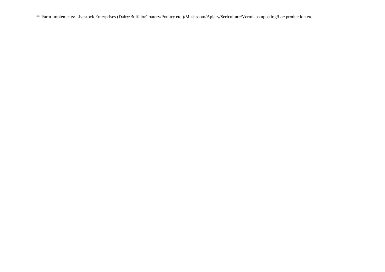\*\* Farm Implements/ Livestock Enterprises (Dairy/Buffalo/Goatery/Poultry etc.)/Mushroom/Apiary/Sericulture/Vermi-composting/Lac production etc.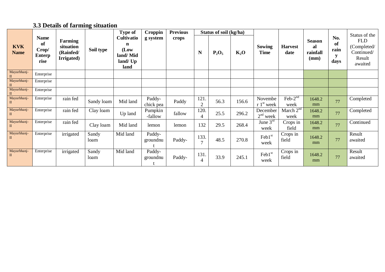# **3.3 Details of farming situation**

| <b>Name</b>                            |                                      |                                                 | Type of       | Croppin                                                        | <b>Previous</b>     |        | Status of soil (kg/ha) |          |        |                                   |                                          |                                         | Status of the             |                                                              |
|----------------------------------------|--------------------------------------|-------------------------------------------------|---------------|----------------------------------------------------------------|---------------------|--------|------------------------|----------|--------|-----------------------------------|------------------------------------------|-----------------------------------------|---------------------------|--------------------------------------------------------------|
| <b>KVK</b><br><b>Name</b>              | of<br>Crop/<br><b>Enterp</b><br>rise | Farming<br>situation<br>(Rainfed/<br>Irrigated) | Soil type     | <b>Cultivatio</b><br>n<br>(Low<br>land/Mid<br>land/ Up<br>land | g system            | crops  | N                      | $P_2O_5$ | $K_2O$ | Sowing<br><b>Time</b>             | <b>Harvest</b><br>date                   | <b>Season</b><br>al<br>rainfall<br>(mm) | No.<br>of<br>rain<br>days | <b>FLD</b><br>(Completed/<br>Continued/<br>Result<br>awaited |
| Mayurbhanj-                            | Enterprise                           |                                                 |               |                                                                |                     |        |                        |          |        |                                   |                                          |                                         |                           |                                                              |
| Mayurbhanj-<br>$\overline{\mathbf{u}}$ | Enterprise                           |                                                 |               |                                                                |                     |        |                        |          |        |                                   |                                          |                                         |                           |                                                              |
| Mayurbhanj-                            | Enterprise                           |                                                 |               |                                                                |                     |        |                        |          |        |                                   |                                          |                                         |                           |                                                              |
| Mayurbhanj-<br>П                       | Enterprise                           | rain fed                                        | Sandy loam    | Mid land                                                       | Paddy-<br>chick pea | Paddy  | 121<br>$\overline{2}$  | 56.3     | 156.6  | Novembe<br>$r 1st$ week           | $Feb-2nd$<br>week                        | 1648.2<br>mm                            | 77                        | Completed                                                    |
| Mayurbhanj-<br>$\mathbf{I}$            | Enterprise                           | rain fed                                        | Clay loam     | Up land                                                        | Pumpkin<br>-fallow  | fallow | 120.<br>$\overline{4}$ | 25.5     | 296.2  | December<br>$2nd$ week            | March $2^{\overline{\text{nd}}}$<br>week | 1648.2<br>mm                            | 77                        | Completed                                                    |
| Mayurbhanj-                            | Enterprise                           | rain fed                                        | Clay loam     | Mid land                                                       | lemon               | lemon  | 132                    | 29.5     | 268.4  | June $3rd$<br>week                | Crops in<br>field                        | 1648.2<br>mm                            | 77                        | Continued                                                    |
| Mayurbhanj-<br>$\mathbf{I}$            | Enterprise                           | irrigated                                       | Sandy<br>loam | Mid land                                                       | Paddy-<br>groundnu  | Paddy- | 133.<br>$\mathcal{I}$  | 48.5     | 270.8  | Feb1st<br>week                    | Crops in<br>field                        | 1648.2<br>mm                            | 77                        | Result<br>awaited                                            |
| Mayurbhanj-<br>$\mathbf{I}$            | Enterprise                           | irrigated                                       | Sandy<br>loam | Mid land                                                       | Paddy-<br>groundnu  | Paddy- | 131.<br>4              | 33.9     | 245.1  | $\text{Feb1}^{\text{st}}$<br>week | Crops in<br>field                        | 1648.2<br>mm                            | 77                        | Result<br>awaited                                            |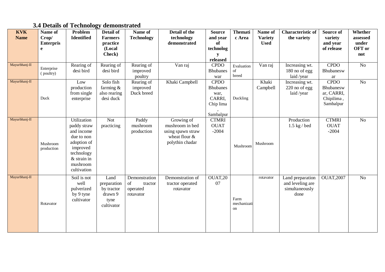# **3.4 Details of Technology demonstrated**

| <b>KVK</b><br><b>Name</b> | Name of<br>Crop/<br><b>Enterpris</b><br>e | Problem<br><b>Identified</b>                                                                                                                | Detail of<br><b>Farmers</b><br>practice<br>(Local<br>Check)        | Name of<br><b>Technology</b>                            | Detail of the<br>technology<br>demonstrated                                            | <b>Source</b><br>and year<br>of<br>technolog<br>y                          | <b>Themati</b><br>c Area  | Name of<br><b>Variety</b><br><b>Used</b> | <b>Characteristic of</b><br>the variety                        | Source of<br>variety<br>and year<br>of release                    | Whether<br>assessed<br>under<br>OFT or<br>not |
|---------------------------|-------------------------------------------|---------------------------------------------------------------------------------------------------------------------------------------------|--------------------------------------------------------------------|---------------------------------------------------------|----------------------------------------------------------------------------------------|----------------------------------------------------------------------------|---------------------------|------------------------------------------|----------------------------------------------------------------|-------------------------------------------------------------------|-----------------------------------------------|
| Mayurbhanj-II             | Enterprise<br>(poultry)                   | Rearing of<br>desi bird                                                                                                                     | Rearing of<br>desi bird                                            | Rearing of<br>improved<br>poultry                       | Van raj                                                                                | released<br><b>CPDO</b><br><b>Bhubanes</b><br>war                          | Evaluation<br>of<br>breed | Van raj                                  | Increasing wt.<br>180 no of egg<br>laid /year                  | <b>CPDO</b><br>Bhubanesw<br>ar                                    | $\rm No$                                      |
| Mayurbhanj-II             | Duck                                      | Low<br>production<br>from single<br>enterprise                                                                                              | Solo fish<br>farming $\&$<br>also rearing<br>desi duck             | Rearing of<br>improved<br>Duck breed                    | Khaki Campbell                                                                         | <b>CPDO</b><br><b>Bhubanes</b><br>war,<br>CARRI,<br>Chip lima<br>Sambalpur | Duckling                  | Khaki<br>Campbell                        | Increasing wt.<br>$220$ no of egg<br>laid /year                | <b>CPDO</b><br>Bhubanesw<br>ar, CARRI,<br>Chipilima,<br>Sambalpur | No                                            |
| Mayurbhanj-II             | Mushroom<br>production                    | Utilization<br>paddy straw<br>and income<br>due to non<br>adoption of<br>improved<br>technology<br>$&$ strain in<br>mushroom<br>cultivation | <b>Not</b><br>practicing                                           | Paddy<br>mushroom<br>production                         | Growing of<br>mushroom in bed<br>using spawn straw<br>wheat flour &<br>polythin chadar | <b>CTMRI</b><br><b>OUAT</b><br>$-2004$                                     | Mushroom                  | Mushroom                                 | Production<br>$1.5$ kg / bed                                   | <b>CTMRI</b><br><b>OUAT</b><br>$-2004$                            | N <sub>o</sub>                                |
| Mayurbhanj-II             | Rotavator                                 | Soil is not<br>well<br>pulverized<br>by 9 tyne<br>cultivator                                                                                | Land<br>preparation<br>by tractor<br>drawn 9<br>tyne<br>cultivator | Demonstration<br>of<br>tractor<br>operated<br>rotavator | Demonstration of<br>tractor operated<br>rotavator                                      | OUAT,20<br>07                                                              | Farm<br>mechanizati<br>on | rotavator                                | Land preparation<br>and leveling are<br>simultaneously<br>done | <b>OUAT,2007</b>                                                  | $\overline{No}$                               |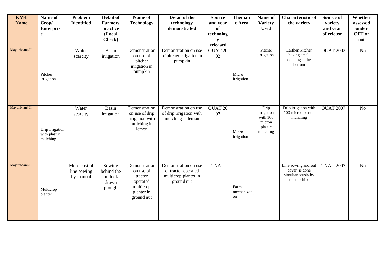| <b>KVK</b><br><b>Name</b> | Name of<br>Crop/<br><b>Enterpris</b><br>e   | Problem<br><b>Identified</b>             | Detail of<br><b>Farmers</b><br>practice<br>(Local<br>Check) | Name of<br><b>Technology</b>                                                               | Detail of the<br>technology<br>demonstrated                                       | <b>Source</b><br>and year<br>of<br>technolog<br>y<br>released | <b>Themati</b><br>c Area  | Name of<br><b>Variety</b><br><b>Used</b>                        | <b>Characteristic of</b><br>the variety                                   | Source of<br>variety<br>and year<br>of release | Whether<br>assessed<br>under<br>OFT or<br>not |
|---------------------------|---------------------------------------------|------------------------------------------|-------------------------------------------------------------|--------------------------------------------------------------------------------------------|-----------------------------------------------------------------------------------|---------------------------------------------------------------|---------------------------|-----------------------------------------------------------------|---------------------------------------------------------------------------|------------------------------------------------|-----------------------------------------------|
| Mayurbhanj-II             | Pitcher<br>irrigation                       | Water<br>scarcity                        | <b>Basin</b><br>irrigation                                  | Demonstration<br>on use of<br>pitcher<br>irrigation in<br>pumpkin                          | Demonstration on use<br>of pitcher irrigation in<br>pumpkin                       | OUAT,20<br>02                                                 | Micro<br>irrigation       | Pitcher<br>irrigation                                           | Earthen Pitcher<br>having small<br>opening at the<br>bottom               | <b>OUAT,2002</b>                               | $\overline{No}$                               |
| Mayurbhanj-II             | Drip irrigation<br>with plastic<br>mulching | Water<br>scarcity                        | <b>Basin</b><br>irrigation                                  | Demonstration<br>on use of drip<br>irrigation with<br>mulching in<br>lemon                 | Demonstration on use<br>of drip irrigation with<br>mulching in lemon              | OUAT,20<br>07                                                 | Micro<br>irrigation       | Drip<br>irrigation<br>with 100<br>micron<br>plastic<br>mulching | Drip irrigation with<br>100 micron plastic<br>mulching                    | <b>OUAT,2007</b>                               | No                                            |
| Mayurbhanj-II             | Multicrop<br>planter                        | More cost of<br>line sowing<br>by manual | Sowing<br>behind the<br>bullock<br>drawn<br>plough          | Demonstration<br>on use of<br>tractor<br>operated<br>multicrop<br>planter in<br>ground nut | Demonstration on use<br>of tractor operated<br>multicrop planter in<br>ground nut | <b>TNAU</b>                                                   | Farm<br>mechanizati<br>on |                                                                 | Line sowing and soil<br>cover is done<br>simultaneously by<br>the machine | <b>TNAU,2007</b>                               | N <sub>o</sub>                                |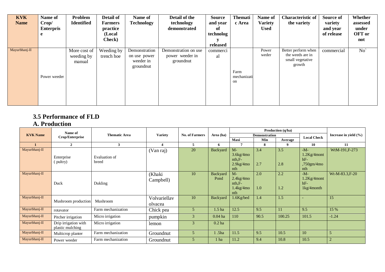| <b>KVK</b><br><b>Name</b> | Name of<br>Crop/<br><b>Enterpris</b><br>e | Problem<br><b>Identified</b>         | Detail of<br><b>Farmers</b><br>practice<br>(Local<br>Check) | Name of<br><b>Technology</b>                            | Detail of the<br>technology<br>demonstrated          | <b>Source</b><br>and year<br>-of<br>technolog<br>released | <b>Themati</b><br>c Area  | Name of<br><b>Variety</b><br><b>Used</b> | <b>Characteristic of</b><br>the variety                               | Source of<br>variety<br>and year<br>of release | Whether<br>assessed<br>under<br>OFT or<br>not |
|---------------------------|-------------------------------------------|--------------------------------------|-------------------------------------------------------------|---------------------------------------------------------|------------------------------------------------------|-----------------------------------------------------------|---------------------------|------------------------------------------|-----------------------------------------------------------------------|------------------------------------------------|-----------------------------------------------|
| Mayurbhanj-II             | Power weeder                              | More cost of<br>weeding by<br>manual | Weeding by<br>trench hoe                                    | Demonstration<br>on use power<br>weeder in<br>groundnut | Demonstration on use<br>power weeder in<br>groundnut | commerci<br>al                                            | Farm<br>mechanizati<br>on | Power<br>weder                           | Better perform when<br>the weeds are in<br>small vegetative<br>growth | commercial                                     | No                                            |

# **3.5 Performance of FLD**

#### **A. Production**

|                 | Name of                                  |                        |                         |                       |                   |                                                          |                      | Production (q/ha) |                                                          |                           |
|-----------------|------------------------------------------|------------------------|-------------------------|-----------------------|-------------------|----------------------------------------------------------|----------------------|-------------------|----------------------------------------------------------|---------------------------|
| <b>KVK Name</b> | Crop/Enterprise                          | <b>Thematic Area</b>   | <b>Variety</b>          | <b>No. of Farmers</b> | Area (ha)         |                                                          | <b>Demonstration</b> |                   | <b>Local Check</b>                                       | Increase in yield $(\% )$ |
|                 |                                          |                        |                         |                       |                   | Maxi                                                     | Min                  | Average           |                                                          |                           |
|                 | $\overline{2}$                           | 3                      |                         | 5                     | 6                 |                                                          | 8                    |                   | 10                                                       | 11                        |
| Mayurbhanj-II   | Enterprise<br>(pultry)                   | Evaluation of<br>breed | (Van raj)               | 20                    | Backyard          | $M -$<br>$3.6$ kg/4mo<br>$nth.F-$<br>$2.9$ kg/4mo<br>nth | 3.4<br>2.7           | 3.5<br>2.8        | $-M-$<br>$1.2$ Kg/4mont<br>$hF-$<br>,750gm/4mo<br>nth    | WtM-191,F-273             |
| Mayurbhanj-II   | Duck                                     | Dukling                | (Khaki<br>Campbell)     | 10                    | Backyard<br>Pond  | $M -$<br>$2.4$ kg/4mo<br>$nth.F-$<br>$1.4$ kg/4mo<br>nth | 2.0<br>1.0           | 2.2<br>1.2        | $-M-$<br>$1.2$ Kg/4mont<br>$hF-$<br>$1\text{kg}/4$ month | Wt-M-83.3, F-20           |
| Mayurbhanj-II   | Mushroom production                      | Mushroom               | Volvariellav<br>olvacea | 10                    | Backyard          | 1.6Kg/bed                                                | 1.4                  | 1.5               |                                                          | 15                        |
| Mayurbhanj-II   | rotavator                                | Farm mechanization     | Chick pea               | 5                     | 1.5 <sub>ha</sub> | 12.5                                                     | 9.5                  | 11                | 9.5                                                      | 15 %                      |
| Mayurbhanj-II   | Pitcher irrigation                       | Micro irrigation       | pumpkin                 | 3                     | $0.04$ ha         | 110                                                      | 90.5                 | 100.25            | 101.5                                                    | $-1.24$                   |
| Mayurbhanj-II   | Drip irrigation with<br>plastic mulching | Micro irrigation       | lemon                   | 3                     | $0.2$ ha          |                                                          |                      |                   |                                                          |                           |
| Mayurbhanj-II   | Multicrop planter                        | Farm mechanization     | Groundnut               | 5                     | 1.5 <sub>ha</sub> | 11.5                                                     | 9.5                  | 10.5              | 10                                                       | 5                         |
| Mayurbhanj-II   | Power weeder                             | Farm mechanization     | Groundnut               | 5                     | 1 ha              | 11.2                                                     | 9.4                  | 10.8              | 10.5                                                     | $\overline{2}$            |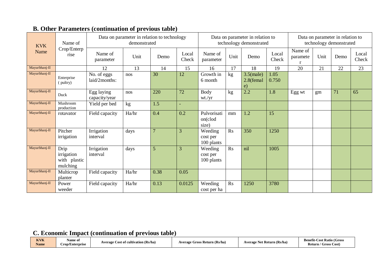| <b>KVK</b>    | Name of                                        |                              | Data on parameter in relation to technology<br>demonstrated |                |                |                                   |                | Data on parameter in relation to<br>technology demonstrated |                |                          |      | Data on parameter in relation to<br>technology demonstrated |                |
|---------------|------------------------------------------------|------------------------------|-------------------------------------------------------------|----------------|----------------|-----------------------------------|----------------|-------------------------------------------------------------|----------------|--------------------------|------|-------------------------------------------------------------|----------------|
| Name          | Crop/Enterp<br>rise                            | Name of<br>parameter         | Unit                                                        | Demo           | Local<br>Check | Name of<br>parameter              | Unit           | Demo                                                        | Local<br>Check | Name of<br>paramete<br>r | Unit | Demo                                                        | Local<br>Check |
| Mayurbhanj-II |                                                | 12                           | 13                                                          | 14             | 15             | 16                                | 17             | 18                                                          | 19             | $\overline{20}$          | 21   | 22                                                          | 23             |
| Mayurbhanj-II | Enterprise<br>(pultry)                         | No. of eggs<br>laid/2months: | nos                                                         | 30             | 12             | Growth in<br>6 month              | kg             | $3.5$ (male)<br>2.8(femal<br>e)                             | 1.05<br>0.750  |                          |      |                                                             |                |
| Mayurbhanj-II | Duck                                           | Egg laying<br>capacity/year  | nos                                                         | 220            | 72             | <b>Body</b><br>wt./yr             | kg             | 2.2                                                         | 1.8            | Egg wt                   | gm   | 71                                                          | 65             |
| Mayurbhanj-II | Mushroom<br>production                         | Yield per bed                | kg                                                          | 1.5            | ٠              |                                   |                |                                                             |                |                          |      |                                                             |                |
| Mayurbhanj-II | rotavator                                      | Field capacity               | Ha/hr                                                       | 0.4            | 0.2            | Pulvorisati<br>on(clod<br>size)   | mm             | 1.2                                                         | 15             |                          |      |                                                             |                |
| Mayurbhanj-II | Pitcher<br>irrigation                          | Irrigation<br>interval       | days                                                        | $\overline{7}$ | 3              | Weeding<br>cost per<br>100 plants | R <sub>S</sub> | 350                                                         | 1250           |                          |      |                                                             |                |
| Mayurbhanj-II | Drip<br>irrigation<br>with plastic<br>mulching | Irrigation<br>interval       | days                                                        | $\overline{5}$ | 3              | Weeding<br>cost per<br>100 plants | R <sub>S</sub> | nil                                                         | 1005           |                          |      |                                                             |                |
| Mayurbhanj-II | Multicrop<br>planter                           | Field capacity               | Ha/hr                                                       | 0.38           | 0.05           |                                   |                |                                                             |                |                          |      |                                                             |                |
| Mayurbhanj-II | Power<br>weeder                                | Field capacity               | Ha/hr                                                       | 0.13           | 0.0125         | Weeding<br>cost per ha            | R <sub>S</sub> | 1250                                                        | 3780           |                          |      |                                                             |                |

# **B. Other Parameters (continuation of previous table)**

# **C. Economic Impact (continuation of previous table)**

| <b>KVK</b><br>Name | Name of<br>$\sim$<br>Crop/Enterprise | Cost of cultivation (Rs/ha)<br><b>Average</b> | (Rs/ha)<br>Averag<br>rage Gross<br>s Keturn- | <b>Average Net Return (Rs/ha)</b><br>. . | <b>Cost Ratio (Gross)</b><br>Benetit<br>$\sim$<br>Return /<br>/ Gross Cost |
|--------------------|--------------------------------------|-----------------------------------------------|----------------------------------------------|------------------------------------------|----------------------------------------------------------------------------|
|--------------------|--------------------------------------|-----------------------------------------------|----------------------------------------------|------------------------------------------|----------------------------------------------------------------------------|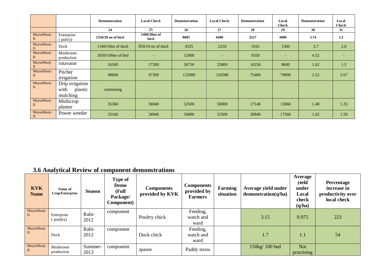|                             |                                                | <b>Demonstration</b> | <b>Local Check</b>       | <b>Demonstration</b> | <b>Local Check</b>       | Demonstration | Local<br><b>Check</b> | <b>Demonstration</b> | Local<br><b>Check</b> |
|-----------------------------|------------------------------------------------|----------------------|--------------------------|----------------------|--------------------------|---------------|-----------------------|----------------------|-----------------------|
|                             |                                                | 24                   | 25                       | 26                   | 27                       | 28            | 29                    | 30                   | 31                    |
| Mayurbhanj-<br>П            | Enterprise<br>pultry)                          | 2350/20 no of bird   | 1400/20no of<br>bird     | 8805                 | 4480                     | 3227          | 3080                  | 3.74                 | 3.2                   |
| Mayurbhanj-<br>П            | Duck                                           | $1160/10$ no of duck | 850/10 no of duck        | 4325                 | 2210                     | 3165          | 1360                  | 3.7                  | 2.6                   |
| Mayurbhanj-                 | Mushroom<br>production                         | $2650/100$ no of bed | $\overline{\phantom{0}}$ | 12000                | $\overline{\phantom{a}}$ | 9350          |                       | 4.52                 |                       |
| Mayurbhanj-                 | rotavator                                      | 16500                | 17200                    | 26750                | 25800                    | 10250         | 8600                  | 1.62                 | 1.5                   |
| Mayurbhanj-<br>П            | Pitcher<br>irrigation                          | 49600                | 47300                    | 125000               | 126300                   | 75400         | 79000                 | 2.52                 | 2.67                  |
| Mayurbhanj-<br>$\mathbf{I}$ | Drip irrigation<br>plastic<br>with<br>mulching | continuing           |                          |                      |                          |               |                       |                      |                       |
| Mayurbhanj-<br>$\mathbf{I}$ | Multicrop<br>planter                           | 35360                | 36940                    | 52500                | 50000                    | 17140         | 13060                 | 1.48                 | 1.35                  |
| Mayurbhanj-<br>$\mathbf{I}$ | Power weeder                                   | 33160                | 34940                    | 54000                | 52500                    | 20840         | 17560                 | 1.62                 | 1.50                  |

# **3.6 Analytical Review of component demonstrations**

| <b>KVK</b><br><b>Name</b>   | Name of<br>Crop/Enterprise | <b>Season</b> | Type of<br>Demo<br>(Full<br>Package/<br>Component) | <b>Components</b><br>provided by KVK | <b>Components</b><br>provided by<br><b>Farmers</b> | Farming<br>situation | Average yield under<br>demonstration(q/ha) | Average<br>yield<br>under<br>Local<br>check<br>(q/ha) | <b>Percentage</b><br>increase in<br>productivity over<br>local check |
|-----------------------------|----------------------------|---------------|----------------------------------------------------|--------------------------------------|----------------------------------------------------|----------------------|--------------------------------------------|-------------------------------------------------------|----------------------------------------------------------------------|
| Mayurbhanj-<br>$\mathbf{I}$ | Enterprise                 | Rabi-         | component                                          |                                      | Feeding,                                           |                      |                                            |                                                       |                                                                      |
|                             | (poultry)                  | 2012          |                                                    | Poultry chick                        | watch and                                          |                      | 3.15                                       | 0.975                                                 | 223                                                                  |
|                             |                            |               |                                                    |                                      | ward                                               |                      |                                            |                                                       |                                                                      |
| Mayurbhanj-                 |                            | Rabi-         | component                                          |                                      | Feeding,                                           |                      |                                            |                                                       |                                                                      |
| $\mathbf{I}$                | Duck                       | 2012          |                                                    | Duck chick                           | watch and                                          |                      | 1.7                                        | 1.1                                                   | 54                                                                   |
|                             |                            |               |                                                    |                                      | ward                                               |                      |                                            |                                                       |                                                                      |
| Mayurbhanj-                 | Mushroom                   | Summer-       | component                                          |                                      |                                                    |                      | 150kg/100 bed                              | <b>Not</b>                                            |                                                                      |
| $\mathbf{I}$                | production                 | 2013          |                                                    | spawn                                | Paddy straw                                        |                      |                                            | practising                                            |                                                                      |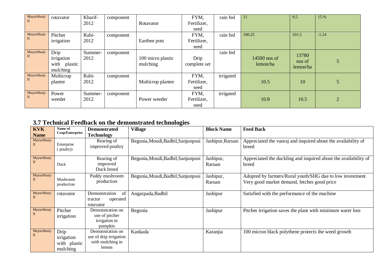| Mayurbhanj-  | rotavator       | Kharif- | component |                   | FYM,         | rain fed  | 11           | 9.5                | 15 %           |
|--------------|-----------------|---------|-----------|-------------------|--------------|-----------|--------------|--------------------|----------------|
| $\mathbf{I}$ |                 | 2012    |           | Rotavator         | Fertilizer,  |           |              |                    |                |
|              |                 |         |           |                   | seed         |           |              |                    |                |
| Mayurbhanj-  | Pitcher         | Rabi-   | component |                   | FYM,         | rain fed  | 100.25       | 101.5              | $-1.24$        |
| $\mathbf{I}$ | irrigation      | 2012    |           | Earthen pots      | Fertilizer,  |           |              |                    |                |
|              |                 |         |           |                   | seed         |           |              |                    |                |
| Mayurbhanj-  | Drip            | Summer- | component |                   |              | rain fed  |              | 13780              |                |
| $\mathbf{I}$ | irrigation      | 2012    |           | 100 micro plastic | Drip         |           | 14500 nos of |                    | 5              |
|              | plastic<br>with |         |           | mulching          | complete set |           | lemon/ha     | nos of<br>lemon/ha |                |
|              | mulching        |         |           |                   |              |           |              |                    |                |
| Mayurbhanj-  | Multicrop       | Rabi-   | component |                   | FYM,         | irrigated |              |                    |                |
| $\mathbf{I}$ | planter         | 2012    |           | Multicrop planter | Fertilizer,  |           | 10.5         | 10                 | 5              |
|              |                 |         |           |                   | seed         |           |              |                    |                |
| Mayurbhanj-  | Power           | Summer- | component |                   | FYM,         | irrigated |              |                    |                |
| $\mathbf{H}$ | weeder          | 2012    |           | Power weeder      | Fertilizer,  |           | 10.8         | 10.5               | $\overline{2}$ |
|              |                 |         |           |                   | seed         |           |              |                    |                |

# **3.7 Technical Feedback on the demonstrated technologies**

| <b>KVK</b><br><b>Name</b> | Name of<br>Crop/Enterprise                     | <b>Demonstrated</b><br><b>Technology</b>                                | <b>Village</b>                     | <b>Block Name</b>   | <b>Feed Back</b>                                                                                        |
|---------------------------|------------------------------------------------|-------------------------------------------------------------------------|------------------------------------|---------------------|---------------------------------------------------------------------------------------------------------|
| Mayurbhanj-<br>П          | Enterprise<br>(poultry)                        | Rearing of<br>improved poultry                                          | Begunia, Moudi, Badbil, Sanjunposi | Jashipur, Raruan    | Appreciated the vanraj and inquired about the availability of<br>breed                                  |
| Mayurbhanj-<br>П          | Duck                                           | Rearing of<br>improved<br>Duck breed                                    | Begunia, Moudi, Badbil, Sanjunposi | Jashipur,<br>Raruan | Appreciated the duckling and inquired about the availability of<br>breed                                |
| Mayurbhanj-<br>П          | Mushroom<br>production                         | Paddy mushroom<br>production                                            | Begunia, Moudi, Badbil, Sanjunposi | Jashipur,<br>Raruan | Adopted by farmers/Rural youth/SHG due to low investment<br>Very good market demand, fetches good price |
| Mayurbhanj-<br>П          | rotavator                                      | of<br>Demonstration<br>operated<br>tractor<br>rotavator                 | Angarpada, Badbil                  | Jashipur            | Satisfied with the performance of the machine                                                           |
| Mayurbhanj-<br>П          | Pitcher<br>irrigation                          | Demonstration on<br>use of pitcher<br>irrigation in<br>pumpkin          | Begunia                            | Jashipur            | Pitcher irrigation saves the plant with minimum water loss                                              |
| Mayurbhanj-<br>П          | Drip<br>irrigation<br>with plastic<br>mulching | Demonstration on<br>use of drip irrigation<br>with mulching in<br>lemon | Kankada                            | Karanjia            | 100 micron black polythene protects the weed growth                                                     |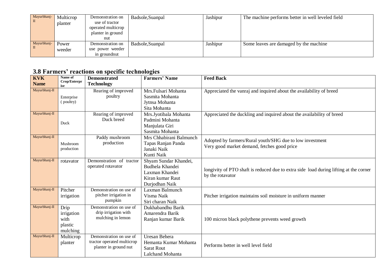| Mayurbhanj- | Multicrop<br>planter | Demonstration on<br>use of tractor<br>operated multicrop<br>planter in ground<br>nut | Badsole, Suanpal | Jashipur | The machine performs better in well leveled field |
|-------------|----------------------|--------------------------------------------------------------------------------------|------------------|----------|---------------------------------------------------|
| Mayurbhanj- | Power<br>weeder      | Demonstration on<br>use power weeder<br>in groundnut                                 | Badsole, Suanpal | Jashipur | Some leaves are damaged by the machine            |

# **3.8 Farmers' reactions on specific technologies**

| <b>KVK</b>    | Name of               | <b>Demonstrated</b>                            | <b>Farmers' Name</b>                     | <b>Feed Back</b>                                                                      |
|---------------|-----------------------|------------------------------------------------|------------------------------------------|---------------------------------------------------------------------------------------|
| <b>Name</b>   | Crop/Enterpr<br>ise   | <b>Technology</b>                              |                                          |                                                                                       |
| Mayurbhanj-II |                       | Rearing of improved                            | Mrs.Fulsari Mohanta                      | Appreciated the vanraj and inquired about the availability of breed                   |
|               | Enterprise            | poultry                                        | Sasmita Mohanta                          |                                                                                       |
|               | (poultry)             |                                                | Jytnsa Mohanta                           |                                                                                       |
|               |                       |                                                | Sita Mohanta                             |                                                                                       |
| Mayurbhanj-II |                       | Rearing of improved                            | Mrs.Jyotibala Mohanta                    | Appreciated the duckling and inquired about the availability of breed                 |
|               | Duck                  | Duck breed                                     | Padmini Mohanta                          |                                                                                       |
|               |                       |                                                | Manjulata Giri                           |                                                                                       |
|               |                       |                                                | Sasmita Mohanta                          |                                                                                       |
| Mayurbhanj-II |                       | Paddy mushroom                                 | Mrs Chhabirani Balmunch                  | Adopted by farmers/Rural youth/SHG due to low investment                              |
|               | Mushroom              | production                                     | Tapas Ranjan Panda                       | Very good market demand, fetches good price                                           |
|               | production            |                                                | Janaki Naik                              |                                                                                       |
| Mayurbhanj-II |                       |                                                | Kunti Naik                               |                                                                                       |
|               | rotavator             | Demonstration of tractor<br>operated rotavator | Shyam Sundar Khandei,<br>Budhela Khandei |                                                                                       |
|               |                       |                                                | Laxman Khandei                           | longivity of PTO shaft is reduced due to extra side load during lifting at the corner |
|               |                       |                                                | Kiran kumar Raut                         | by the rotavator                                                                      |
|               |                       |                                                | Durjodhan Naik                           |                                                                                       |
| Mayurbhanj-II | Pitcher               | Demonstration on use of                        | Laxman Balmunch                          |                                                                                       |
|               | irrigation            | pitcher irrigation in                          | Visma Naik                               | Pitcher irrigation maintains soil moisture in uniform manner                          |
|               |                       | pumpkin                                        | Siri charan Naik                         |                                                                                       |
| Mayurbhanj-II | Drip                  | Demonstration on use of                        | Dukhabandhu Barik                        |                                                                                       |
|               | irrigation            | drip irrigation with                           | Amarendra Barik                          |                                                                                       |
|               | with                  | mulching in lemon                              | Ranjan kumar Barik                       | 100 micron black polythene prevents weed growth                                       |
|               | plastic               |                                                |                                          |                                                                                       |
|               | mulching              |                                                |                                          |                                                                                       |
| Mayurbhanj-II | Multicrop             | Demonstration on use of                        | Uresan Behera                            |                                                                                       |
|               | planter               | tractor operated multicrop                     | Hemanta Kumar Mohanta                    | Performs better in well level field                                                   |
|               | planter in ground nut |                                                | <b>Sarat Rout</b>                        |                                                                                       |
|               |                       |                                                | <b>Lalchand Mohanta</b>                  |                                                                                       |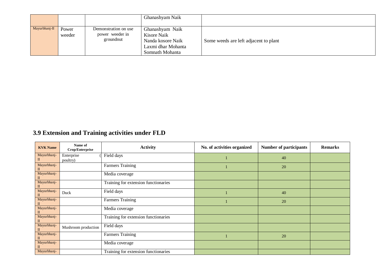|               |                 |                                                      | Ghanashyam Naik                                                                              |                                       |
|---------------|-----------------|------------------------------------------------------|----------------------------------------------------------------------------------------------|---------------------------------------|
| Mayurbhanj-II | Power<br>weeder | Demonstration on use<br>power weeder in<br>groundnut | Ghanashyam Naik<br>Kisore Naik<br>Nanda kosore Naik<br>Laxmi dhar Mohanta<br>Somnath Mohanta | Some weeds are left adjacent to plant |

# **3.9 Extension and Training activities under FLD**

| <b>KVK Name</b>             | Name of<br>Crop/Enterprise | <b>Activity</b>                      | No. of activities organized | <b>Number of participants</b> | <b>Remarks</b> |
|-----------------------------|----------------------------|--------------------------------------|-----------------------------|-------------------------------|----------------|
| Mayurbhanj-<br>П            | Enterprise<br>poultry)     | Field days                           |                             | 40                            |                |
| Mayurbhanj-<br>П            |                            | <b>Farmers Training</b>              |                             | 20                            |                |
| Mayurbhanj-<br>П            |                            | Media coverage                       |                             |                               |                |
| Mayurbhanj-<br>П            |                            | Training for extension functionaries |                             |                               |                |
| Mayurbhanj-                 | Duck                       | Field days                           |                             | 40                            |                |
| Mayurbhanj-<br>$\mathbf{I}$ |                            | <b>Farmers Training</b>              |                             | 20                            |                |
| Mayurbhanj-<br>$\mathbf{I}$ |                            | Media coverage                       |                             |                               |                |
| Mayurbhanj-<br>$\mathbf{I}$ |                            | Training for extension functionaries |                             |                               |                |
| Mayurbhanj-                 | Mushroom production        | Field days                           |                             |                               |                |
| Mayurbhanj-<br>$\mathbf{I}$ |                            | <b>Farmers Training</b>              |                             | 20                            |                |
| Mayurbhanj-<br>П            |                            | Media coverage                       |                             |                               |                |
| Mayurbhanj-                 |                            | Training for extension functionaries |                             |                               |                |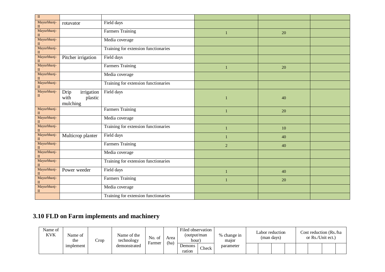| $\overline{\rm II}$         |                                                   |                                      |                |        |  |
|-----------------------------|---------------------------------------------------|--------------------------------------|----------------|--------|--|
|                             |                                                   |                                      |                |        |  |
| Mayurbhanj-<br>$\mathbf{I}$ | rotavator                                         | Field days                           |                |        |  |
| Mayurbhanj-<br>П            |                                                   | Farmers Training                     | $\mathbf{1}$   | 20     |  |
| Mayurbhanj-<br>$\mathbf{I}$ |                                                   | Media coverage                       |                |        |  |
| Mayurbhanj-<br>$\mathbf{I}$ |                                                   | Training for extension functionaries |                |        |  |
| Mayurbhanj-<br>$\mathbf{I}$ | Pitcher irrigation                                | Field days                           |                |        |  |
| Mayurbhanj-<br>П            |                                                   | <b>Farmers Training</b>              |                | 20     |  |
| Mayurbhanj-<br>$\mathbf{I}$ |                                                   | Media coverage                       |                |        |  |
| Mayurbhanj-<br>$\mathbf{I}$ |                                                   | Training for extension functionaries |                |        |  |
| Mayurbhanj-<br>$\mathbf{I}$ | irrigation<br>Drip<br>with<br>plastic<br>mulching | Field days                           | 1              | 40     |  |
| Mayurbhanj-<br>$\mathbf{I}$ |                                                   | <b>Farmers Training</b>              |                | 20     |  |
| Mayurbhanj-<br>П            |                                                   | Media coverage                       |                |        |  |
| Mayurbhanj-<br>$\rm II$     |                                                   | Training for extension functionaries | 1              | $10\,$ |  |
| Mayurbhanj-<br>$\mathbf{I}$ | Multicrop planter                                 | Field days                           |                | 40     |  |
| Mayurbhanj-<br>$\mathbf{I}$ |                                                   | <b>Farmers Training</b>              | $\overline{2}$ | 40     |  |
| Mayurbhanj-<br>$\mathbf{I}$ |                                                   | Media coverage                       |                |        |  |
| Mayurbhanj-<br>$\mathbf{I}$ |                                                   | Training for extension functionaries |                |        |  |
| Mayurbhanj-<br>$\mathbf{I}$ | Power weeder                                      | Field days                           |                | 40     |  |
| Mayurbhanj-<br>$\mathbf{I}$ |                                                   | <b>Farmers Training</b>              |                | 20     |  |
| Mayurbhanj-<br>П            |                                                   | Media coverage                       |                |        |  |
|                             |                                                   | Training for extension functionaries |                |        |  |

# **3.10 FLD on Farm implements and machinery**

| Name of<br><b>KVK</b> | Name of<br>the     | rop | Name of the<br>technology | No. of<br>Area | Filed observation<br>output/man)<br>hour' |                  | % change in<br>major | (man days) | Labor reduction | Cost reduction (Rs./ha<br>or Rs./Unit ect.) |  |  |  |  |
|-----------------------|--------------------|-----|---------------------------|----------------|-------------------------------------------|------------------|----------------------|------------|-----------------|---------------------------------------------|--|--|--|--|
|                       | <i>s</i> implement |     | demonstrated              | Farmer         | (ha)                                      | Demons<br>ration | Check                | parameter  |                 |                                             |  |  |  |  |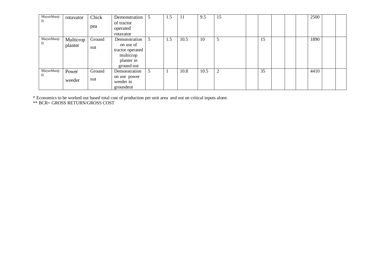| Mayurbhanj-<br>П | rotavator            | Chick<br>pea  | Demonstration<br>of tractor<br>operated                                                              | 5 | 1.5 | -11  | 9.5  | 15             |    |  | 2500 |  |
|------------------|----------------------|---------------|------------------------------------------------------------------------------------------------------|---|-----|------|------|----------------|----|--|------|--|
| Mayurbhanj-<br>П | Multicrop<br>planter | Ground<br>nut | rotavator<br>Demonstration<br>on use of<br>tractor operated<br>multicrop<br>planter in<br>ground nut | 5 | 1.5 | 10.5 | 10   | 5              | 15 |  | 1890 |  |
| Mayurbhanj-<br>П | Power<br>weeder      | Ground<br>nut | Demonstration<br>on use power<br>weeder in<br>groundnut                                              | 5 |     | 10.8 | 10.5 | $\overline{2}$ | 35 |  | 4410 |  |

\* Economics to be worked out based total cost of production per unit area and not on critical inputs alone.

\*\* BCR= GROSS RETURN/GROSS COST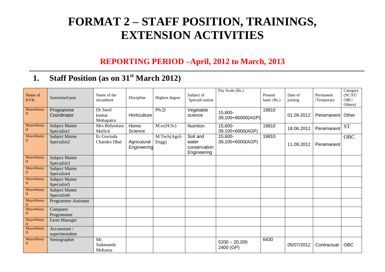# **FORMAT 2 – STAFF POSITION, TRAININGS, EXTENSION ACTIVITIES**

# **REPORTING PERIOD –April, 2012 to March, 2013**

# **1. Staff Position (as on 31 st March 2012)**

| Name of<br>KVK.             | Sanctioned post                      | Name of the<br>incumbent       | Discipline                 | Highest degree         | Subject of<br>Speciali-zation                    | Pay Scale (Rs.)              | Present<br>basic (Rs.) | Date of<br>joining | Permanent<br>/Temporary | Category<br>(SC/ST)<br>OBC/<br>Others) |
|-----------------------------|--------------------------------------|--------------------------------|----------------------------|------------------------|--------------------------------------------------|------------------------------|------------------------|--------------------|-------------------------|----------------------------------------|
| Mayurbhanj-<br>$\rm II$     | Programme<br>Coordinator             | Dr.Sunil<br>kumar<br>Mohapatra | Horticulture               | Ph.D                   | Vegetable<br>science                             | 15,600-<br>39,100+80000(AGP) | 19810                  | 01.09.2012         | Peramanent              | Other                                  |
| Mayurbhanj-<br>$\mathbf{I}$ | <b>Subject Matter</b><br>Specialist1 | Mrs.Bidyutlata<br>Mallick      | Home<br>Science            | $M.\text{sc}(H.Sc)$    | Nutrition                                        | 15,600-<br>39,100+6000(AGP)  | 19810                  | 18.06.2012         | Peramanent              | <b>ST</b>                              |
| Mayurbhanj-<br>$\rm II$     | <b>Subject Matter</b><br>Specialist2 | Er.Govinda<br>Chandra Dhal     | Agricutural<br>Engineering | M.Tech(Agril-<br>Engg) | Soil and<br>water<br>conservation<br>Engineering | 15,600-<br>39,100+6000(AGP)  | 19810                  | 11.09.2012         | Peramanent              | <b>OBC</b>                             |
| Mayurbhanj-<br>$\mathbf{I}$ | <b>Subject Matter</b><br>Specialist3 |                                |                            |                        |                                                  |                              |                        |                    |                         |                                        |
| Mayurbhanj-<br>$\rm II$     | <b>Subject Matter</b><br>Specialist4 |                                |                            |                        |                                                  |                              |                        |                    |                         |                                        |
| Mayurbhanj-<br>$\mathbf{I}$ | <b>Subject Matter</b><br>Specialist5 |                                |                            |                        |                                                  |                              |                        |                    |                         |                                        |
| Mayurbhanj-<br>$\rm II$     | <b>Subject Matter</b><br>Specialist6 |                                |                            |                        |                                                  |                              |                        |                    |                         |                                        |
| Mayurbhanj-<br>$\mathbf{I}$ | Programme Assistant                  |                                |                            |                        |                                                  |                              |                        |                    |                         |                                        |
| Mayurbhanj-<br>$\mathbf{I}$ | Computer<br>Programmer               |                                |                            |                        |                                                  |                              |                        |                    |                         |                                        |
| Mayurbhanj-<br>$\mathbf{H}$ | Farm Manager                         |                                |                            |                        |                                                  |                              |                        |                    |                         |                                        |
| Mayurbhanj-<br>$\mathbf{I}$ | Accountant /<br>superintendent       |                                |                            |                        |                                                  |                              |                        |                    |                         |                                        |
| Mayurbhanj-<br>$\rm II$     | Stenographer                         | Mr.<br>Sadananda<br>Mohanta    |                            |                        |                                                  | $5200 - 20,200$<br>2400 (GP) | 6430                   | 05/07/2012         | Contractual             | <b>OBC</b>                             |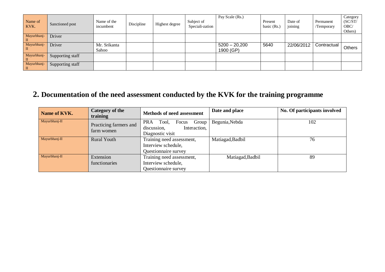| Name of<br>KVK.               | Sanctioned post  | Name of the<br>incumbent | Discipline | Highest degree | Subject of<br>Speciali-zation | Pay Scale (Rs.)              | Present<br>basic (Rs.) | Date of<br>joining | Permanent<br>/Temporary | Category<br>(SC/ST)<br>OBC/<br>Others) |
|-------------------------------|------------------|--------------------------|------------|----------------|-------------------------------|------------------------------|------------------------|--------------------|-------------------------|----------------------------------------|
| Mayurbhanj-<br>$\blacksquare$ | Driver           |                          |            |                |                               |                              |                        |                    |                         |                                        |
| Mayurbhanj-<br>$\blacksquare$ | Driver           | Mr. Srikanta<br>Sahoo    |            |                |                               | $5200 - 20,200$<br>1900 (GP) | 5640                   | 22/06/2012         | Contractual             | Others                                 |
| Mayurbhanj-<br>$\mathbf{I}$   | Supporting staff |                          |            |                |                               |                              |                        |                    |                         |                                        |
| Mayurbhanj-<br>$\mathbf{H}$   | Supporting staff |                          |            |                |                               |                              |                        |                    |                         |                                        |

# **2. Documentation of the need assessment conducted by the KVK for the training programme**

| Name of KVK.  | Category of the<br>training          | <b>Methods of need assessment</b>                                                        | Date and place   | No. Of participants involved |
|---------------|--------------------------------------|------------------------------------------------------------------------------------------|------------------|------------------------------|
| Mayurbhanj-II | Practicing farmers and<br>farm women | Group<br><b>PRA</b><br>Tool,<br>Focus<br>Interaction,<br>discussion,<br>Diagnostic visit | Begunia, Nebda   | 102                          |
| Mayurbhanj-II | <b>Rural Youth</b>                   | Training need assessment,<br>Interview schedule,<br>Questionnaire survey                 | Matiagad, Badbil | 76                           |
| Mayurbhanj-II | Extension<br>functionaries           | Training need assessment,<br>Interview schedule,<br>Questionnaire survey                 | Matiagad, Badbil | 89                           |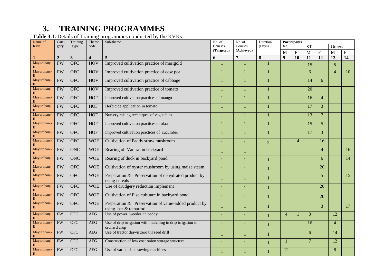# **3. TRAINING PROGRAMMES**

#### **Table 3.1.** Details of Training programmes conducted by the KVKs

| Name of                     | Cate-          | Training                | Theme                   | Sub-theme                                                                       |              | No. of         | Duration       | Participants     |                |                 |                 |                 |                 |
|-----------------------------|----------------|-------------------------|-------------------------|---------------------------------------------------------------------------------|--------------|----------------|----------------|------------------|----------------|-----------------|-----------------|-----------------|-----------------|
| <b>KVK</b>                  | gory           | Type                    | code                    |                                                                                 | Courses      | Courses        | (Days)         | $\overline{SC}$  |                | ST              |                 | Others          |                 |
|                             |                |                         |                         |                                                                                 | (Targeted)   | (Achieved)     |                | M                | $\mathbf F$    | $\overline{M}$  | $\mathbf F$     | M               | $\mathbf{F}$    |
|                             | $\overline{2}$ | $\overline{\mathbf{3}}$ | $\overline{\mathbf{4}}$ | 5                                                                               | 6            | 7              | 8              | $\boldsymbol{q}$ | 10             | 11              | $\overline{12}$ | $\overline{13}$ | 14              |
| Mayurbhanj-                 | <b>FW</b>      | <b>OFC</b>              | <b>HOV</b>              | Improved cultivation practice of marigold                                       |              |                |                |                  |                | 15              |                 | $\overline{5}$  |                 |
| Mayurbhanj-                 | <b>FW</b>      | <b>OFC</b>              | <b>HOV</b>              | Improved cultivation practice of cow pea                                        |              | 1              |                |                  |                | 6               |                 | $\overline{4}$  | 10              |
| Mayurbhanj-                 | <b>FW</b>      | <b>OFC</b>              | <b>HOV</b>              | Improved cultivation practice of cabbage                                        |              | $\mathbf{1}$   |                |                  |                | 14              | 6               |                 |                 |
| Mayurbhanj-                 | <b>FW</b>      | <b>OFC</b>              | <b>HOV</b>              | Improved cultivation practice of tomato                                         |              | $\mathbf{1}$   |                |                  |                | 20              |                 |                 |                 |
| Mayurbhanj-                 | <b>FW</b>      | <b>OFC</b>              | <b>HOF</b>              | Improved cultivation practices of mango                                         |              | $\mathbf{1}$   |                |                  |                | 16              | $\overline{4}$  |                 |                 |
| Mayurbhanj-                 | <b>FW</b>      | <b>OFC</b>              | <b>HOF</b>              | Herbicide application in tomato                                                 |              | $\mathbf{1}$   |                |                  |                | $\overline{17}$ | 3               |                 |                 |
| Mayurbhanj-                 | FW             | <b>OFC</b>              | <b>HOF</b>              | Nursery raising techniques of vegetables                                        |              | $\mathbf{1}$   |                |                  |                | $\overline{13}$ | $7\phantom{.0}$ |                 |                 |
| Mayurbhanj-                 | <b>FW</b>      | <b>OFC</b>              | <b>HOF</b>              | Improved cultivation practices of okra                                          |              | 1              |                |                  |                | 15              | 5               |                 |                 |
| Mayurbhanj-                 | <b>FW</b>      | <b>OFC</b>              | <b>HOF</b>              | Improved cultivation practices of cucumber                                      |              | 1              |                |                  |                | 17              | $\overline{3}$  |                 |                 |
| Mayurbhanj-                 | <b>FW</b>      | <b>OFC</b>              | <b>WOE</b>              | Cultivation of Paddy straw mushroom                                             |              | $\mathbf{1}$   | $\overline{2}$ |                  | $\overline{4}$ |                 | 16              |                 |                 |
| Mayurbhanj-                 | <b>FW</b>      | <b>ONC</b>              | <b>WOE</b>              | Rearing of Van raj in backyard                                                  |              | 1              |                |                  |                |                 | $\overline{4}$  |                 | 16              |
| Mayurbhanj-<br>$\mathbf{I}$ | <b>FW</b>      | <b>ONC</b>              | <b>WOE</b>              | Rearing of duck in backyard pond                                                |              |                |                |                  |                |                 | 6               |                 | $\overline{14}$ |
| Mayurbhanj-                 | FW             | <b>OFC</b>              | <b>WOE</b>              | Cultivation of oyster mushroom by using maize steam                             | 1            | 1              |                |                  |                |                 | $\overline{20}$ |                 |                 |
| Mayurbhanj-<br>$\Pi$        | FW             | <b>OFC</b>              | <b>WOE</b>              | Preparation & Preservation of dehydrated product by<br>using cereals            | 1            | $\mathbf{1}$   |                |                  |                |                 | 5               |                 | $\overline{15}$ |
| Mayurbhanj-<br>$\mathbf{I}$ | <b>FW</b>      | <b>OFC</b>              | <b>WOE</b>              | Use of drudgery reduction implement                                             | 1            | $\mathbf{1}$   |                |                  |                |                 | 20              |                 |                 |
| Mayurbhanj-<br>П            | <b>FW</b>      | <b>OFC</b>              | <b>WOE</b>              | Cultivation of Piscicultuure in backyard pond                                   | $\mathbf{1}$ | $\mathbf{1}$   |                |                  |                |                 | 20              |                 |                 |
| Mayurbhanj-<br>$\mathbf{I}$ | <b>FW</b>      | <b>OFC</b>              | <b>WOE</b>              | Preparation $\&$ Preservation of value-added product by<br>using ber & tamarind |              |                |                |                  |                |                 | $\overline{3}$  |                 | 17              |
| Mayurbhanj-                 | <b>FW</b>      | <b>OFC</b>              | AEG                     | Use of power weeder in paddy                                                    | 1            | $\overline{1}$ |                | $\overline{4}$   |                | 3               |                 | 12              |                 |
| Mayurbhanj-                 | <b>FW</b>      | <b>OFC</b>              | <b>AEG</b>              | Use of drip irrigation with mulching in drip irrigation in<br>orchard crop      |              | $\mathbf{1}$   |                |                  |                | 16              |                 | $\overline{4}$  |                 |
| Mayurbhanj-<br>$\mathbf{I}$ | FW             | <b>OFC</b>              | <b>AEG</b>              | Use of tractor drawn zero till seed drill                                       |              | $\mathbf{1}$   |                |                  |                | 6               |                 | 14              |                 |
| Mayurbhanj-                 | <b>FW</b>      | <b>OFC</b>              | AEG                     | Construction of low cost onion storage structure                                | $\mathbf{1}$ | $\mathbf{1}$   |                |                  |                | $\overline{7}$  |                 | 12              |                 |
| Mayurbhanj-<br>$\mathbf{I}$ | <b>FW</b>      | <b>OFC</b>              | <b>AEG</b>              | Use of various line sowing machines                                             |              | 1              |                | 12               |                |                 |                 | 8               |                 |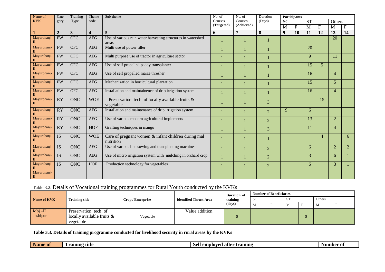| Name of                     | Cate-           | Training     | Theme                   | Sub-theme                                                             | No. of     | No. of         | Duration       |                  | Participants    |           |                |                 |                |
|-----------------------------|-----------------|--------------|-------------------------|-----------------------------------------------------------------------|------------|----------------|----------------|------------------|-----------------|-----------|----------------|-----------------|----------------|
| <b>KVK</b>                  | gory            | Type         | code                    |                                                                       | Courses    | Courses        | (Days)         | <b>SC</b>        |                 | <b>ST</b> |                | Others          |                |
|                             |                 |              |                         |                                                                       | (Targeted) | (Achieved)     |                | M                | $\mathbf{F}$    | M         | F              | M               | $F_{\rm}$      |
|                             | $\overline{2}$  | $\mathbf{3}$ | $\overline{\mathbf{4}}$ | $\overline{5}$                                                        | 6          | $\overline{7}$ | 8              | $\boldsymbol{9}$ | $\overline{10}$ | 11        | 12             | $\overline{13}$ | 14             |
| Mayurbhanj-                 | <b>FW</b>       | OFC          | <b>AEG</b>              | Use of various rain water harvesting structures in watershed<br>areas |            |                |                |                  |                 |           |                | $\overline{20}$ |                |
| Mayurbhanj-                 | <b>FW</b>       | <b>OFC</b>   | <b>AEG</b>              | Multi use of power tiller                                             |            |                |                |                  |                 | 20        |                |                 |                |
| Mayurbhanj-                 | <b>FW</b>       | <b>OFC</b>   | <b>AEG</b>              | Multi purpose use of tractor in agriculture sector                    |            |                |                |                  |                 | 9         |                | 11              |                |
| Mayurbhanj-                 | <b>FW</b>       | <b>OFC</b>   | <b>AEG</b>              | Use of self propelled paddy transplanter                              |            |                |                |                  |                 | 15        | $\overline{5}$ |                 |                |
| Mayurbhanj-                 | <b>FW</b>       | <b>OFC</b>   | <b>AEG</b>              | Use of self propelled maize thresher                                  |            |                |                |                  |                 | 16        |                | $\overline{4}$  |                |
| Mayurbhanj-                 | <b>FW</b>       | <b>OFC</b>   | <b>AEG</b>              | Mechanization in horticultural plantation                             |            |                |                |                  |                 | 15        |                | $5\overline{)}$ |                |
| Mayurbhanj-                 | <b>FW</b>       | <b>OFC</b>   | <b>AEG</b>              | Installation and maintainence of drip irrigation system               |            |                |                |                  |                 | 16        |                | $\overline{4}$  |                |
| Mayurbhanj-                 | <b>RY</b>       | <b>ONC</b>   | <b>WOE</b>              | Preservation tech. of locally available fruits &<br>vegetable         |            |                | 3              |                  |                 |           | 15             |                 |                |
| Mayurbhanj-                 | <b>RY</b>       | <b>ONC</b>   | <b>AEG</b>              | Installation and maintenance of drip irrigation system                |            |                | 2              | 9                |                 | 6         |                |                 |                |
| Mayurbhanj-                 | <b>RY</b>       | <b>ONC</b>   | <b>AEG</b>              | Use of various modern agricultural implements                         |            |                | 2              |                  |                 | 13        |                | $\overline{2}$  |                |
| Mayurbhanj-                 | $\overline{RY}$ | <b>ONC</b>   | <b>HOF</b>              | Grafting techniques in mango                                          |            |                | 3              |                  |                 | 11        |                | $\overline{4}$  |                |
| Mayurbhanj-<br>$\Pi$        | <b>IS</b>       | <b>ONC</b>   | <b>WOE</b>              | Care of pregnant women & infant children during mal<br>nutrition      |            |                |                |                  |                 |           | $\overline{4}$ |                 | 6              |
| Mayurbhanj-                 | <b>IS</b>       | <b>ONC</b>   | <b>AEG</b>              | Use of various line sowing and transplanting machines                 |            |                | $\overline{2}$ |                  |                 | 6         |                | $\overline{2}$  | $\overline{2}$ |
| Mayurbhanj-                 | $\overline{IS}$ | <b>ONC</b>   | <b>AEG</b>              | Use of micro irrigation system with mulching in orchard crop          |            |                | $\overline{2}$ |                  |                 | 3         |                | 6               |                |
| Mayurbhanj-                 | $\overline{IS}$ | <b>ONC</b>   | <b>HOF</b>              | Production technology for vegetables.                                 |            |                | $\overline{2}$ |                  |                 | 6         |                | 3               |                |
| Mayurbhanj-<br>$\mathbf{I}$ |                 |              |                         |                                                                       |            |                |                |                  |                 |           |                |                 |                |

# Table 3.2. Details of Vocational training programmes for Rural Youth conducted by the KVKs

|             |                               |                   |                               | Duration of | <b>Number of Beneficiaries</b> |  |    |  |        |  |  |  |
|-------------|-------------------------------|-------------------|-------------------------------|-------------|--------------------------------|--|----|--|--------|--|--|--|
| Name of KVK | Training title                | Crop / Enterprise | <b>Identified Thrust Area</b> | training    | <b>SC</b>                      |  | SТ |  | Others |  |  |  |
|             |                               |                   |                               | (days)      | M                              |  | М  |  | M      |  |  |  |
| $Mbj-II$    | Preservation tech. of         |                   | Value addition                |             |                                |  |    |  |        |  |  |  |
| Jashipur    | locally available fruits $\&$ | Vegetable         |                               |             |                                |  |    |  |        |  |  |  |
|             | vegetable                     |                   |                               |             |                                |  |    |  |        |  |  |  |

#### **Table 3.3. Details of training programme conducted for livelihood security in rural areas by the KVKs**

| $\sim$<br>. 1 е<br>TV.<br>training<br>$-1$ and $-1$<br>-ot<br>. atter<br>raining<br>Aumber<br>tītle<br>employed<br>01<br>$\bullet$ $\bullet$<br>Name<br>$\cdots$ |  |
|------------------------------------------------------------------------------------------------------------------------------------------------------------------|--|
|------------------------------------------------------------------------------------------------------------------------------------------------------------------|--|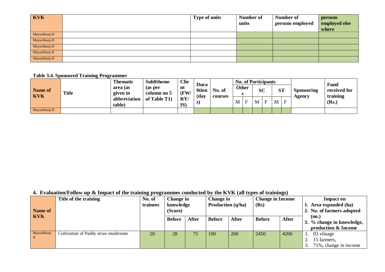| <b>KVK</b>    | <b>Type of units</b> | Number of | Number of        | persons       |
|---------------|----------------------|-----------|------------------|---------------|
|               |                      | units     | persons employed | employed else |
|               |                      |           |                  | where         |
| Mayurbhanj-II |                      |           |                  |               |
| Mayurbhanj-II |                      |           |                  |               |
| Mayurbhanj-II |                      |           |                  |               |
| Mayurbhanj-II |                      |           |                  |               |
| Mayurbhanj-II |                      |           |                  |               |

#### **Table 3.4. Sponsored Training Programmes**

|                       |              | <b>Thematic</b>        | <b>Sub0theme</b>       | <b>Clie</b>            | Dura                 |         |   |              | <b>No. of Participants</b> |                          |     |            |               | Fund                     |
|-----------------------|--------------|------------------------|------------------------|------------------------|----------------------|---------|---|--------------|----------------------------|--------------------------|-----|------------|---------------|--------------------------|
| Name of<br><b>KVK</b> | <b>Title</b> | area (as<br>given in   | (as per<br>column no 5 | nt<br>(FW)             | <b>Otion</b><br>(day | No. of  |   | <b>Other</b> |                            | <b>SC</b>                | ג ט | $\alpha$ T | Sponsoring    | received for<br>training |
|                       |              | abbreviation<br>table) | of Table T1)           | RY/<br>IS <sup>®</sup> | S)                   | courses | M | F            | M                          | $\overline{\phantom{0}}$ | M   | E          | <b>Agency</b> | (Rs.)                    |
| Mayurbhanj-II         |              |                        |                        |                        |                      |         |   |              |                            |                          |     |            |               |                          |

# **4. Evaluation/Follow up & Impact of the training programmes conducted by the KVK (all types of trainings)**

|             | Title of the training               |          | No. of<br>Change in  |              |                   | Change in |               | <b>Change in Income</b> | <b>Impact on</b> |                           |  |                           |
|-------------|-------------------------------------|----------|----------------------|--------------|-------------------|-----------|---------------|-------------------------|------------------|---------------------------|--|---------------------------|
|             |                                     | trainees | knowledge<br>(Score) |              | Production (q/ha) |           | (Rs)          |                         |                  | 1. Area expanded (ha)     |  |                           |
| Name of     |                                     |          |                      |              |                   |           |               |                         |                  | 2. No. of farmers adopted |  |                           |
| <b>KVK</b>  |                                     |          | <b>Before</b>        | <b>After</b> | <b>Before</b>     | After     | <b>Before</b> | <b>After</b>            |                  | (no.)                     |  |                           |
|             |                                     |          |                      |              |                   |           |               |                         |                  |                           |  | 3. % change in knowledge, |
|             |                                     |          |                      |              |                   |           |               |                         |                  | production & Income       |  |                           |
| Mayurbhanj- | Cultivation of Paddy straw mushroom | 20       | 28                   | 75           | 100               | 260       | 2450          | 4206                    |                  | 03 vilaage                |  |                           |
| l II        |                                     |          |                      |              |                   |           |               |                         |                  | 15 farmers,               |  |                           |
|             |                                     |          |                      |              |                   |           |               |                         |                  | 71%, change in income     |  |                           |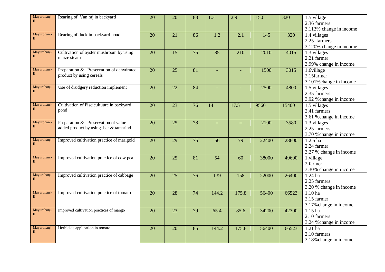| Mayurbhanj-   | Rearing of Van raj in backyard            | $\overline{20}$ | $\overline{20}$ | 83              | $\overline{1.3}$ | $\overline{2.9}$ | 150   | 320   | $1.5$ village           |
|---------------|-------------------------------------------|-----------------|-----------------|-----------------|------------------|------------------|-------|-------|-------------------------|
| $\rm II$      |                                           |                 |                 |                 |                  |                  |       |       | 2.36 farmers            |
|               |                                           |                 |                 |                 |                  |                  |       |       | 3.113% change in income |
| Mayurbhanj-   | Rearing of duck in backyard pond          | 20              | 21              | 86              | 1.2              | 2.1              | 145   | 320   | 1.4 villages            |
| $\mathbf{I}$  |                                           |                 |                 |                 |                  |                  |       |       | 2.25 farmers            |
|               |                                           |                 |                 |                 |                  |                  |       |       | 3.120% change in income |
| Mayurbhanj-   | Cultivation of oyster mushroom by using   | 20              | 15              | 75              | 85               | 210              | 2010  | 4015  | 1.3 villages            |
| $\mathbf{I}$  | maize steam                               |                 |                 |                 |                  |                  |       |       | 2.21 farmer             |
|               |                                           |                 |                 |                 |                  |                  |       |       | 3.99% change in income  |
| Mayurbhanj-   | Preparation & Preservation of dehydrated  | 20              | 25              | 81              | ÷,               | ٠                | 1500  | 3015  | 1.6village              |
| $\mathbf{I}$  | product by using cereals                  |                 |                 |                 |                  |                  |       |       | 2.15farmer              |
|               |                                           |                 |                 |                 |                  |                  |       |       | 3.101% change in income |
| Mayurbhanj-   | Use of drudgery reduction implement       | $\overline{20}$ | $\overline{22}$ | 84              |                  |                  | 2500  | 4800  | 1.5 villages            |
| $\mathbf{I}$  |                                           |                 |                 |                 |                  |                  |       |       | 2.35 farmers            |
|               |                                           |                 |                 |                 |                  |                  |       |       | 3.92 % change in income |
| Mayurbhanj-   | Cultivation of Piscicultuure in backyard  | $\overline{20}$ | $\overline{23}$ | $\overline{76}$ | 14               | 17.5             | 9560  | 15400 | 1.5 villages            |
| $\rm II$      | pond                                      |                 |                 |                 |                  |                  |       |       | 2.41 farmers            |
|               |                                           |                 |                 |                 |                  |                  |       |       | 3.61 % change in income |
| Mayurbhanj-   | Preparation & Preservation of value-      | 20              | 25              | 78              | $=$              | $=$              | 2100  | 3580  | 1.3 villages            |
| $\mathbf{I}$  | added product by using ber & tamarind     |                 |                 |                 |                  |                  |       |       | 2.25 farmers            |
|               |                                           |                 |                 |                 |                  |                  |       |       | 3.70 % change in income |
| Mayurbhanj-   | Improved cultivation practice of marigold | 20              | 29              | $\overline{75}$ | 56               | 79               | 22400 | 28600 | $1.2.5$ ha              |
| $\mathbf{I}$  |                                           |                 |                 |                 |                  |                  |       |       | 2.24 farmer             |
|               |                                           |                 |                 |                 |                  |                  |       |       | 3.27 % change in income |
| Mayurbhanj-   | Improved cultivation practice of cow pea  | $\overline{20}$ | $\overline{25}$ | 81              | $\overline{54}$  | 60               | 38000 | 49600 | 1.village               |
| $\mathbf{I}$  |                                           |                 |                 |                 |                  |                  |       |       | 2.farmer                |
|               |                                           |                 |                 |                 |                  |                  |       |       | 3.30% change in income  |
| Mayurbhanj-   | Improved cultivation practice of cabbage  | $\overline{20}$ | $\overline{25}$ | $\overline{76}$ | 139              | 158              | 22000 | 26400 | $1.24$ ha               |
| $\mathbf{I}$  |                                           |                 |                 |                 |                  |                  |       |       | 2.25 farmers            |
|               |                                           |                 |                 |                 |                  |                  |       |       | 3.20 % change in income |
| Mayurbhanj-   | Improved cultivation practice of tomato   | 20              | 28              | $\overline{74}$ | 144.2            | 175.8            | 56400 | 66523 | $1.10$ ha               |
| П             |                                           |                 |                 |                 |                  |                  |       |       | 2.15 farmer             |
|               |                                           |                 |                 |                 |                  |                  |       |       | 3.17% change in income  |
| Mayurbhanj-   | Improved cultivation practices of mango   | 20              | 23              | $\overline{79}$ | 65.4             | 85.6             | 34200 | 42300 | 1.15 ha                 |
| $\mathbf{I}$  |                                           |                 |                 |                 |                  |                  |       |       | 2.10 farmers            |
|               |                                           |                 |                 |                 |                  |                  |       |       | 3.24 % change in income |
| Mayurbhanj-   | Herbicide application in tomato           | 20              | 20              | 85              | 144.2            | 175.8            | 56400 | 66523 | $1.21$ ha               |
| $\mathbf{II}$ |                                           |                 |                 |                 |                  |                  |       |       | 2.10 farmers            |
|               |                                           |                 |                 |                 |                  |                  |       |       | 3.18% change in income  |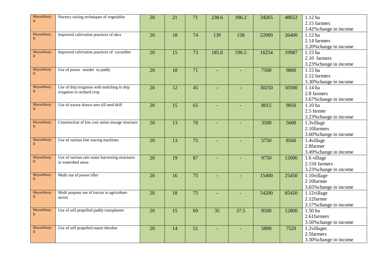| Mayurbhanj-                 | Nursery raising techniques of vegetables         | $\overline{20}$ | $\overline{21}$ | $\overline{71}$ | 238.6           | 306.2                    | 34265 | 48652 | $1.12$ ha                 |
|-----------------------------|--------------------------------------------------|-----------------|-----------------|-----------------|-----------------|--------------------------|-------|-------|---------------------------|
| $\mathbf{I}$                |                                                  |                 |                 |                 |                 |                          |       |       | 2.15 farmers              |
|                             |                                                  |                 |                 |                 |                 |                          |       |       | 3.42% change in income    |
| Mayurbhanj-                 | Improved cultivation practices of okra           | 20              | 18              | 74              | 139             | 158                      | 22000 | 26400 | $1.12$ ha                 |
| $\mathbf{I}$                |                                                  |                 |                 |                 |                 |                          |       |       | 2.14 farmers              |
|                             |                                                  |                 |                 |                 |                 |                          |       |       | 3.20% change in income    |
| Mayurbhanj-                 | Improved cultivation practices of cucumber       | $\overline{20}$ | $\overline{15}$ | $\overline{73}$ | 185.0           | 196.5                    | 16254 | 19987 | $1.15$ ha                 |
| $\mathbf{I}$                |                                                  |                 |                 |                 |                 |                          |       |       | 2.10 farmers              |
|                             |                                                  |                 |                 |                 |                 |                          |       |       | 3.23% change in income    |
| Mayurbhanj-                 | Use of power weeder in paddy                     | 20              | 18              | $\overline{71}$ | L,              | $\overline{\phantom{a}}$ | 7500  | 9800  | 1.15 ha                   |
| $\mathbf{I}$                |                                                  |                 |                 |                 |                 |                          |       |       | 2.12 farmers              |
|                             |                                                  |                 |                 |                 |                 |                          |       |       | 3.30% change in income    |
| Mayurbhanj-                 | Use of drip irrigation with mulching in drip     | 20              | 12              | 45              |                 |                          | 30250 | 50500 | $1.14$ ha                 |
| $\mathbf{I}$                | irrigation in orchard crop                       |                 |                 |                 |                 |                          |       |       | 2.8 farmers               |
|                             |                                                  |                 |                 |                 |                 |                          |       |       | 3.67% change in income    |
| Mayurbhanj-                 | Use of tractor drawn zero till seed drill        | $\overline{20}$ | $\overline{15}$ | $\overline{65}$ |                 |                          | 8015  | 9850  | $1.10$ ha                 |
| $\mathbf{I}$                |                                                  |                 |                 |                 |                 |                          |       |       | 2.5 farmer                |
|                             |                                                  |                 |                 |                 |                 |                          |       |       | 3.23% change in income    |
| Mayurbhanj-                 | Construction of low cost onion storage structure | 20              | 13              | 70              |                 |                          | 3500  | 5600  | 1.3village                |
| $\mathbf{I}$                |                                                  |                 |                 |                 |                 |                          |       |       | 2.10farmers               |
|                             |                                                  |                 |                 |                 |                 |                          |       |       | 3.60% change in income    |
| Mayurbhanj-<br>$\mathbf{I}$ | Use of various line sowing machines              | 20              | 13              | $\overline{75}$ | ÷,              |                          | 5750  | 8560  | 1.4village                |
|                             |                                                  |                 |                 |                 |                 |                          |       |       | 2.8farmer                 |
|                             |                                                  |                 |                 |                 |                 |                          |       |       | 3.49% change in income    |
| Mayurbhanj-<br>$\mathbf{I}$ | Use of various rain water harvesting structures  | $\overline{20}$ | $\overline{19}$ | 87              |                 |                          | 9750  | 12000 | 1.6 village               |
|                             | in watershed areas                               |                 |                 |                 |                 |                          |       |       | 2.150 farmers             |
|                             |                                                  |                 |                 |                 |                 |                          |       |       | 3.23% change in income    |
| Mayurbhanj-<br>$\mathbf{I}$ | Multi use of power tiller                        | 20              | 16              | $\overline{75}$ | $\equiv$        |                          | 15400 | 25450 | $\overline{1.10}$ village |
|                             |                                                  |                 |                 |                 |                 |                          |       |       | 2.10farmer                |
|                             |                                                  |                 |                 |                 |                 |                          |       |       | 3.65% change in income    |
| Mayurbhanj-<br>$\mathbf{I}$ | Multi purpose use of tractor in agriculture      | 20              | 18              | $\overline{75}$ | L,              | ٠                        | 54200 | 85420 | 1.12village               |
|                             | sector                                           |                 |                 |                 |                 |                          |       |       | 2.12farmer                |
|                             |                                                  |                 |                 |                 |                 |                          |       |       | 3.57% change in income    |
| Mayurbhanj-<br>$\mathbf{I}$ | Use of self propelled paddy transplanter         | 20              | $\overline{15}$ | 69              | $\overline{35}$ | 37.5                     | 8500  | 12800 | $1.50$ ha                 |
|                             |                                                  |                 |                 |                 |                 |                          |       |       | 2.61farmers               |
|                             |                                                  |                 |                 |                 |                 |                          |       |       | 3.50% change in income    |
| Mayurbhanj-<br>П            | Use of self propelled maize thresher             | 20              | 14              | $\overline{51}$ |                 |                          | 5800  | 7520  | 1.2villages               |
|                             |                                                  |                 |                 |                 |                 |                          |       |       | 2.5farmers                |
|                             |                                                  |                 |                 |                 |                 |                          |       |       | 3.30% change in income    |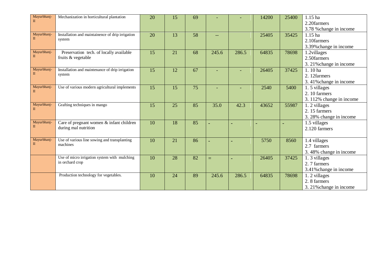| Mayurbhanj-<br>$\mathbf{I}$ | Mechanization in horticultural plantation        | 20 | 15 | 69              |       |                          | 14200 | 25400 | 1.15 ha                  |
|-----------------------------|--------------------------------------------------|----|----|-----------------|-------|--------------------------|-------|-------|--------------------------|
|                             |                                                  |    |    |                 |       |                          |       |       | 2.20farmers              |
|                             |                                                  |    |    |                 |       |                          |       |       | 3.78 % change in income  |
| Mayurbhanj-                 | Installation and maintainence of drip irrigation | 20 | 13 | 58              | --    |                          | 25405 | 35425 | 1.15 ha                  |
| $\mathbf{I}$                | system                                           |    |    |                 |       |                          |       |       | 2.10farmers              |
|                             |                                                  |    |    |                 |       |                          |       |       | 3.39% change in income   |
| Mayurbhanj-                 | Preservation tech. of locally available          | 15 | 21 | 68              | 245.6 | 286.5                    | 64835 | 78698 | 1.2villages              |
| П                           | fruits & vegetable                               |    |    |                 |       |                          |       |       | 2.50farmers              |
|                             |                                                  |    |    |                 |       |                          |       |       | 3. 21% change in income  |
| Mayurbhanj-                 | Installation and maintenance of drip irrigation  | 15 | 12 | 67              |       |                          | 26405 | 37425 | 1.10 ha                  |
| $\Pi$                       | system                                           |    |    |                 |       |                          |       |       | 2. 12farmers             |
|                             |                                                  |    |    |                 |       |                          |       |       | 3.41% change in income   |
| Mayurbhanj-                 | Use of various modern agricultural implements    | 15 | 15 | 75              |       |                          | 2540  | 5400  | 1.5 villages             |
| П                           |                                                  |    |    |                 |       |                          |       |       | 2.10 farmers             |
|                             |                                                  |    |    |                 |       |                          |       |       | 3. 112% change in income |
| Mayurbhanj-                 | Grafting techniques in mango                     | 15 | 25 | 85              | 35.0  | 42.3                     | 43652 | 55987 | 1. 2 villages            |
| П                           |                                                  |    |    |                 |       |                          |       |       | 2.15 farmers             |
|                             |                                                  |    |    |                 |       |                          |       |       | 3. 28% change in income  |
| Mayurbhanj-                 | Care of pregnant women & infant children         | 10 | 18 | 85              |       | $\overline{\phantom{0}}$ |       |       | 1.5 villages             |
| П                           | during mal nutrition                             |    |    |                 |       |                          |       |       | 2.120 farmers            |
|                             |                                                  |    |    |                 |       |                          |       |       |                          |
| Mayurbhanj-                 | Use of various line sowing and transplanting     | 10 | 21 | 86              |       |                          | 5750  | 8560  | 1.4 villages             |
| П                           | machines                                         |    |    |                 |       |                          |       |       | 2.7 farmers              |
|                             |                                                  |    |    |                 |       |                          |       |       | 3.48% change in income   |
|                             | Use of micro irrigation system with mulching     | 10 | 28 | $\overline{82}$ | $=$   |                          | 26405 | 37425 | 1. 3 villages            |
|                             | in orchard crop                                  |    |    |                 |       |                          |       |       | 2.7 farmers              |
|                             |                                                  |    |    |                 |       |                          |       |       | 3.41% change in income   |
|                             | Production technology for vegetables.            | 10 | 24 | 89              | 245.6 | 286.5                    | 64835 | 78698 | 1. 2 villages            |
|                             |                                                  |    |    |                 |       |                          |       |       | 2.8 farmers              |
|                             |                                                  |    |    |                 |       |                          |       |       | 3. 21% change in income  |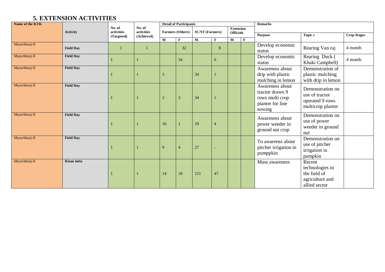# **5. EXTENSION ACTIVITIES**

| Name of the KVK | <b>Detail of Participants</b> |                      |                      |                |                         |                        |              | <b>Remarks</b>   |              |                                                                                     |                                                                               |                    |  |
|-----------------|-------------------------------|----------------------|----------------------|----------------|-------------------------|------------------------|--------------|------------------|--------------|-------------------------------------------------------------------------------------|-------------------------------------------------------------------------------|--------------------|--|
|                 | <b>Activity</b>               | No. of<br>activities | No. of<br>activities |                | <b>Farmers (Others)</b> | <b>SC/ST</b> (Farmers) |              | <b>Extension</b> |              |                                                                                     |                                                                               |                    |  |
|                 |                               | (Targeted)           | (Achieved)           |                |                         |                        |              | <b>Officials</b> |              | <b>Purpose</b>                                                                      | <b>Topics</b>                                                                 | <b>Crop Stages</b> |  |
|                 |                               |                      |                      | $\mathbf M$    | $\mathbf{F}$            | $\mathbf M$            | $\mathbf{F}$ | $\mathbf{M}$     | $\mathbf{F}$ |                                                                                     |                                                                               |                    |  |
| Mayurbhanj-II   | <b>Field Day</b>              | $\mathbf{1}$         |                      |                | 32                      |                        | 8            |                  |              | Develop economic<br>status                                                          | Rearing Van raj                                                               | 4 month            |  |
| Mayurbhanj-II   | <b>Field Day</b>              |                      |                      |                | 34                      |                        | 6            |                  |              | Develop economic<br>status                                                          | Rearing Duck (<br>Khaki Campbell)                                             | 4 month            |  |
| Mayurbhanj-II   | <b>Field Day</b>              |                      |                      | 5              |                         | 34                     |              |                  |              | Awareness about<br>drip with plastic<br>mulching in lemon                           | Demonstration of<br>plastic mulching<br>with drip in lemon                    |                    |  |
| Mayurbhanj-II   | <b>Field Day</b>              |                      |                      | $\overline{2}$ | 3                       | 34                     |              |                  |              | Awareness about<br>tractor drawn 9<br>rows multi crop<br>planter for line<br>sowing | Demonstration on<br>use of tractor<br>operated 9 rows<br>multicrop planter    |                    |  |
| Mayurbhanj-II   | <b>Field Day</b>              |                      |                      | 16             |                         | 19                     | 4            |                  |              | Awareness about<br>power weeder in<br>ground nut crop                               | Demonstration on<br>use of power<br>weeder in ground<br>nut                   |                    |  |
| Mayurbhanj-II   | <b>Field Day</b>              |                      |                      | $\mathbf Q$    |                         | 27                     |              |                  |              | To awarenss about<br>pitcher irrigation in<br>pumppkin                              | Demonstration on<br>use of pitcher<br>irrigation in<br>pumpkin                |                    |  |
| Mayurbhanj-II   | Kisan mela                    |                      |                      | 14             | 18                      | 121                    | 47           |                  |              | Mass awareness                                                                      | Recent<br>technologies in<br>the field of<br>agriculture and<br>allied sector |                    |  |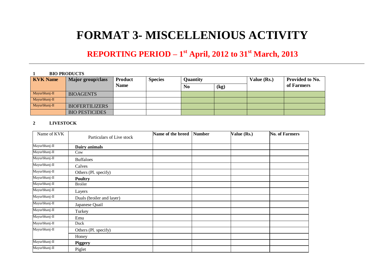# **FORMAT 3- MISCELLENIOUS ACTIVITY**

# **REPORTING PERIOD – 1 st April, 2012 to 31 st March, 2013**

#### **1 BIO PRODUCTS**

| <b>KVK</b> Name | Major group/class     | <b>Product</b> | <b>Species</b> | <b>Quantity</b> |      | Value (Rs.) | Provided to No. |
|-----------------|-----------------------|----------------|----------------|-----------------|------|-------------|-----------------|
|                 |                       | <b>Name</b>    |                | No              | (kg) |             | of Farmers      |
| Mayurbhanj-II   | <b>BIOAGENTS</b>      |                |                |                 |      |             |                 |
| Mayurbhanj-II   |                       |                |                |                 |      |             |                 |
| Mayurbhanj-II   | <b>BIOFERTILIZERS</b> |                |                |                 |      |             |                 |
|                 | <b>BIO PESTICIDES</b> |                |                |                 |      |             |                 |

#### **2 LIVESTOCK**

| Name of KVK   |                           | Name of the breed | <b>Number</b> | Value (Rs.) | <b>No. of Farmers</b> |
|---------------|---------------------------|-------------------|---------------|-------------|-----------------------|
|               | Particulars of Live stock |                   |               |             |                       |
| Mayurbhanj-II | Dairy animals             |                   |               |             |                       |
| Mayurbhanj-II | Cow                       |                   |               |             |                       |
| Mayurbhanj-II | <b>Buffaloes</b>          |                   |               |             |                       |
| Mayurbhanj-II | Calves                    |                   |               |             |                       |
| Mayurbhanj-II | Others (Pl. specify)      |                   |               |             |                       |
| Mayurbhanj-II | <b>Poultry</b>            |                   |               |             |                       |
| Mayurbhanj-II | <b>Broiler</b>            |                   |               |             |                       |
| Mayurbhanj-II | Layers                    |                   |               |             |                       |
| Mayurbhanj-II | Duals (broiler and layer) |                   |               |             |                       |
| Mayurbhanj-II | Japanese Quail            |                   |               |             |                       |
| Mayurbhanj-II | Turkey                    |                   |               |             |                       |
| Mayurbhanj-II | Emu                       |                   |               |             |                       |
| Mayurbhanj-II | Duck                      |                   |               |             |                       |
| Mayurbhanj-II | Others (Pl. specify)      |                   |               |             |                       |
|               | Honey                     |                   |               |             |                       |
| Mayurbhanj-II | <b>Piggery</b>            |                   |               |             |                       |
| Mayurbhanj-II | Piglet                    |                   |               |             |                       |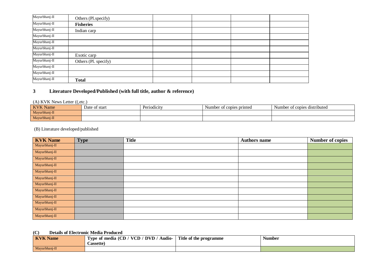| Mayurbhanj-II | Others (Pl.specify)  |  |  |
|---------------|----------------------|--|--|
| Mayurbhanj-II | <b>Fisheries</b>     |  |  |
| Mayurbhanj-II | Indian carp          |  |  |
| Mayurbhanj-II |                      |  |  |
| Mayurbhanj-II |                      |  |  |
| Mayurbhanj-II |                      |  |  |
| Mayurbhanj-II | Exotic carp          |  |  |
| Mayurbhanj-II | Others (Pl. specify) |  |  |
| Mayurbhanj-II |                      |  |  |
| Mayurbhanj-II |                      |  |  |
| Mayurbhanj-II | <b>Total</b>         |  |  |

#### **3 Literature Developed/Published (with full title, author & reference)**

#### (A) KVK News Letter ((,etc.)

| <b>KVK</b><br>Name<br>T. | Date of start | $\cdot$<br>Periodicity | $\sim$<br>Number<br>of copies<br>s printed | $\cdot$ .<br>Number of copies distributed |
|--------------------------|---------------|------------------------|--------------------------------------------|-------------------------------------------|
| Mayurbhanj-II            |               |                        |                                            |                                           |
| Mayurbhanj-II            |               |                        |                                            |                                           |

#### (B) Literature developed/published

| <b>KVK Name</b> | <b>Type</b> | <b>Title</b> | <b>Authors name</b> | <b>Number of copies</b> |
|-----------------|-------------|--------------|---------------------|-------------------------|
| Mayurbhanj-II   |             |              |                     |                         |
| Mayurbhanj-II   |             |              |                     |                         |
| Mayurbhanj-II   |             |              |                     |                         |
| Mayurbhanj-II   |             |              |                     |                         |
| Mayurbhanj-II   |             |              |                     |                         |
| Mayurbhanj-II   |             |              |                     |                         |
| Mayurbhanj-II   |             |              |                     |                         |
| Mayurbhanj-II   |             |              |                     |                         |
| Mayurbhanj-II   |             |              |                     |                         |
| Mayurbhanj-II   |             |              |                     |                         |
| Mayurbhanj-II   |             |              |                     |                         |
| Mayurbhanj-II   |             |              |                     |                         |

#### **(C) Details of Electronic Media Produced**

| <b>KVK Name</b> | Audio-<br>DVD /<br>$\mathbf{VCD}$ ,<br>Type of media (CD<br>Cassette' | Title of the programme | $ -$<br>Number |
|-----------------|-----------------------------------------------------------------------|------------------------|----------------|
| Mayurbhanj-II   |                                                                       |                        |                |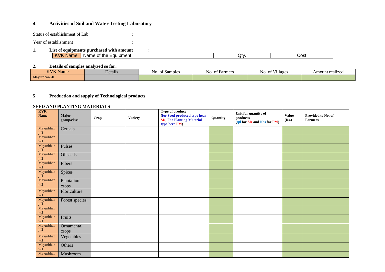#### **4 Activities of Soil and Water Testing Laboratory**

Status of establishment of Lab :

Year of establishment :

#### **1. List of equipments purchased with amount :** KVK Name Name of the Equipment Cost Cost Cost

#### **2. Details of samples analyzed so far:**

| <b>KVK N</b><br>Name | Details | of Samples<br>NO. | : Farmers<br>NO.<br>^+<br>- 01 | $\mathbf{r}$ . The state<br>$\overline{\phantom{a}}$<br>Villages<br>~+<br>NO. OI | . .<br>Amount realized |
|----------------------|---------|-------------------|--------------------------------|----------------------------------------------------------------------------------|------------------------|
| $-$<br>Mayurbhani-II |         |                   |                                |                                                                                  |                        |

#### **5 Production and supply of Technological products**

#### **SEED AND PLANTING MATERIALS**

| <b>KVK</b><br><b>Name</b>      | Major<br>group/class | <b>Crop</b> | <b>Variety</b> | Type of produce<br>(for Seed produced type hear<br><b>SD; For Planting Material</b><br>type here PM) | Quantity | Unit for quantity of<br>produces<br>(qtl for SD and Nos for PM) | <b>Value</b><br>(Rs.) | Provided to No. of<br><b>Farmers</b> |
|--------------------------------|----------------------|-------------|----------------|------------------------------------------------------------------------------------------------------|----------|-----------------------------------------------------------------|-----------------------|--------------------------------------|
| Mayurbhan<br>$j-II$            | Cereals              |             |                |                                                                                                      |          |                                                                 |                       |                                      |
| Mayurbhan<br>$j$ -II           |                      |             |                |                                                                                                      |          |                                                                 |                       |                                      |
| Mayurbhan<br>j-II              | Pulses               |             |                |                                                                                                      |          |                                                                 |                       |                                      |
| Mayurbhan<br>j-II              | Oilseeds             |             |                |                                                                                                      |          |                                                                 |                       |                                      |
| Mayurbhan<br>j-II              | Fibers               |             |                |                                                                                                      |          |                                                                 |                       |                                      |
| Mayurbhan<br>j-II <sup>-</sup> | Spices               |             |                |                                                                                                      |          |                                                                 |                       |                                      |
| Mayurbhan<br>j-II              | Plantation<br>crops  |             |                |                                                                                                      |          |                                                                 |                       |                                      |
| Mayurbhan<br>$i$ -II           | Floriculture         |             |                |                                                                                                      |          |                                                                 |                       |                                      |
| Mayurbhan<br>j-II              | Forest species       |             |                |                                                                                                      |          |                                                                 |                       |                                      |
| Mayurbhan<br>j-II              |                      |             |                |                                                                                                      |          |                                                                 |                       |                                      |
| Mayurbhan<br>j-II              | Fruits               |             |                |                                                                                                      |          |                                                                 |                       |                                      |
| Mayurbhan<br>$i$ -II           | Ornamental<br>crops  |             |                |                                                                                                      |          |                                                                 |                       |                                      |
| Mayurbhan<br>j-II              | Vegetables           |             |                |                                                                                                      |          |                                                                 |                       |                                      |
| Mayurbhan<br>$j-H$             | Others               |             |                |                                                                                                      |          |                                                                 |                       |                                      |
| Mayurbhan                      | Mushroom             |             |                |                                                                                                      |          |                                                                 |                       |                                      |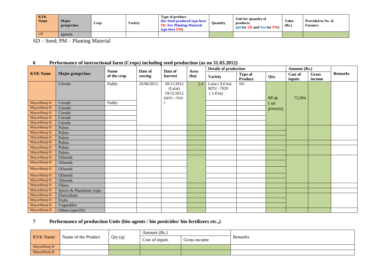| <b>KVK</b><br><b>Name</b> | Major<br>group/class | Crop | Variety | Type of produce<br>(for Seed produced type hear<br><b>SD</b> ; For Planting Material<br>type here PM | <b>Quantity</b> | Unit for quantity of<br>produces<br>(atl for SD and Nos for PM) | Value<br>(Rs.) | Provided to No. of<br>Farmers |
|---------------------------|----------------------|------|---------|------------------------------------------------------------------------------------------------------|-----------------|-----------------------------------------------------------------|----------------|-------------------------------|
| $i$ -II                   | spawn                |      |         |                                                                                                      |                 |                                                                 |                |                               |

SD – Seed; PM – Planting Material

#### **6 Performance of instructional farm (Crops) including seed production (as on 31.03.2012)**

|                 |                           | <b>Name</b> | Date of    | Date of                                           | Area | <b>Details of production</b>              |                           |          | Amount (Rs.)      |                 |                |
|-----------------|---------------------------|-------------|------------|---------------------------------------------------|------|-------------------------------------------|---------------------------|----------|-------------------|-----------------|----------------|
| <b>KVK Name</b> | Major group/class         | of the crop | sowing     | harvest                                           | (ha) | <b>Variety</b>                            | Type of<br><b>Produce</b> | Qty.     | Cost of<br>inputs | Gross<br>income | <b>Remarks</b> |
|                 | Cereals                   | Paddy       | 26/06/2012 | 30/11/2012<br>(Lalat)<br>19/12/2012<br>(MTU-7029) | 2.4  | Lalat (0.6 ha)<br>MTU -7029<br>$(1.8$ ha) | <b>SD</b>                 | 68 qt.   | 72,094            |                 |                |
| Mayurbhanj-II   | Cereals                   | Paddy       |            |                                                   |      |                                           |                           | (un      |                   |                 |                |
| Mayurbhanj-II   | Cereals                   |             |            |                                                   |      |                                           |                           | process) |                   |                 |                |
| Mayurbhanj-II   | Cereals                   |             |            |                                                   |      |                                           |                           |          |                   |                 |                |
| Mayurbhanj-II   | Cereals                   |             |            |                                                   |      |                                           |                           |          |                   |                 |                |
| Mayurbhanj-II   | Cereals                   |             |            |                                                   |      |                                           |                           |          |                   |                 |                |
| Mayurbhanj-II   | Pulses                    |             |            |                                                   |      |                                           |                           |          |                   |                 |                |
| Mayurbhanj-II   | Pulses                    |             |            |                                                   |      |                                           |                           |          |                   |                 |                |
| Mayurbhanj-II   | Pulses                    |             |            |                                                   |      |                                           |                           |          |                   |                 |                |
| Mayurbhanj-II   | Pulses                    |             |            |                                                   |      |                                           |                           |          |                   |                 |                |
| Mayurbhanj-II   | Pulses                    |             |            |                                                   |      |                                           |                           |          |                   |                 |                |
| Mayurbhanj-II   | Pulses                    |             |            |                                                   |      |                                           |                           |          |                   |                 |                |
| Mayurbhanj-II   | Oilseeds                  |             |            |                                                   |      |                                           |                           |          |                   |                 |                |
| Mayurbhanj-II   | Oilseeds                  |             |            |                                                   |      |                                           |                           |          |                   |                 |                |
| Mayurbhanj-II   | Oilseeds                  |             |            |                                                   |      |                                           |                           |          |                   |                 |                |
| Mayurbhanj-II   | Oilseeds                  |             |            |                                                   |      |                                           |                           |          |                   |                 |                |
| Mayurbhanj-II   | Oilseeds                  |             |            |                                                   |      |                                           |                           |          |                   |                 |                |
| Mayurbhanj-II   | Fibers                    |             |            |                                                   |      |                                           |                           |          |                   |                 |                |
| Mayurbhanj-II   | Spices & Plantation crops |             |            |                                                   |      |                                           |                           |          |                   |                 |                |
| Mayurbhanj-II   | Floriculture              |             |            |                                                   |      |                                           |                           |          |                   |                 |                |
| Mayurbhanj-II   | Fruits                    |             |            |                                                   |      |                                           |                           |          |                   |                 |                |
| Mayurbhanj-II   | Vegetables                |             |            |                                                   |      |                                           |                           |          |                   |                 |                |
| Mayurbhanj-II   | Others (specify)          |             |            |                                                   |      |                                           |                           |          |                   |                 |                |

#### **7 Performance of production Units (bio-agents / bio pesticides/ bio fertilizers etc.,)**

| <b>KVK</b> Name | Name of the Product | Qty(q) | Amount (Rs.)   |              |         |
|-----------------|---------------------|--------|----------------|--------------|---------|
|                 |                     |        | Cost of inputs | Gross income | Remarks |
| Mayurbhanj-II   |                     |        |                |              |         |
| Mayurbhanj-II   |                     |        |                |              |         |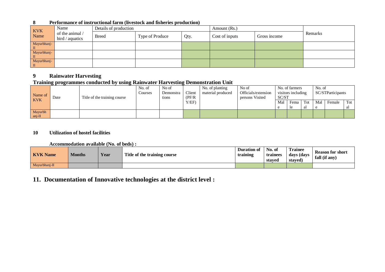| <b>KVK</b>  | Name                               | Details of production |                 |      | Amount (Rs.)   |              |         |
|-------------|------------------------------------|-----------------------|-----------------|------|----------------|--------------|---------|
| Name        | of the animal /<br>bird / aquatics | <b>Breed</b>          | Type of Produce | Qty. | Cost of inputs | Gross income | Remarks |
| Mayurbhanj- |                                    |                       |                 |      |                |              |         |
| Mayurbhanj- |                                    |                       |                 |      |                |              |         |
| Mayurbhanj- |                                    |                       |                 |      |                |              |         |

#### **8 Performance of instructional farm (livestock and fisheries production)**

#### **9 Rainwater Harvesting**

#### **Training programmes conducted by using Rainwater Harvesting Demonstration Unit**

| Name of    | Date | Title of the training course | No. of<br>Courses | No of<br>Demonstra<br>tions | Client<br>(PF/R) | No. of planting<br>material produced | No of<br>Officials/extension<br>persons Visited | No. of farmers<br>visitors including<br>SC/ST |               |     | No. of<br>SC/STParticipants |        |     |
|------------|------|------------------------------|-------------------|-----------------------------|------------------|--------------------------------------|-------------------------------------------------|-----------------------------------------------|---------------|-----|-----------------------------|--------|-----|
| <b>KVK</b> |      |                              |                   |                             | Y/EF             |                                      |                                                 | Mal                                           | Fema          | Tot | Mal                         | Female | Tot |
|            |      |                              |                   |                             |                  |                                      |                                                 | ≏                                             | <sub>1e</sub> | al  | e                           |        | aı  |
| Mayurbh    |      |                              |                   |                             |                  |                                      |                                                 |                                               |               |     |                             |        |     |
| $ani-H$    |      |                              |                   |                             |                  |                                      |                                                 |                                               |               |     |                             |        |     |

#### **10 Utilization of hostel facilities**

#### **Accommodation available (No. of beds) :**

| <b>KVK</b> Name | <b>Months</b> | Year | Title of the training course | <b>Duration of</b><br>training | No. of<br>trainees<br>staved | <b>Trainee</b><br>days (days<br>staved | <b>Reason for short</b><br>fall (if any) |
|-----------------|---------------|------|------------------------------|--------------------------------|------------------------------|----------------------------------------|------------------------------------------|
| Mayurbhanj-II   |               |      |                              |                                |                              |                                        |                                          |

#### **11. Documentation of Innovative technologies at the district level :**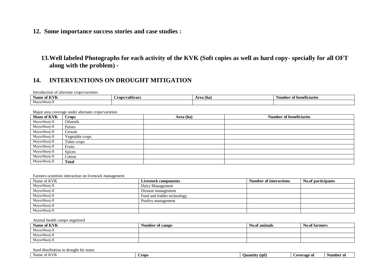**12. Some importance success stories and case studies :** 

**13.Well labeled Photographs for each activity of the KVK (Soft copies as well as hard copy- specially for all OFT along with the problem) -**

#### **14. INTERVENTIONS ON DROUGHT MITIGATION**

Introduction of alternate crops/varieties

| $- - - - -$   | `rops/cultivars | (ha) | of beneficiaries |
|---------------|-----------------|------|------------------|
| Name of KVK   |                 | 20   | Number           |
| Mayurbhanj-II |                 |      |                  |

Major area coverage under alternate crops/varieties

| <b>Mane of KVK</b> | <b>Crops</b>    | Area (ha) | <b>Number of beneficiaries</b> |
|--------------------|-----------------|-----------|--------------------------------|
| Mayurbhanj-II      | Oilseeds        |           |                                |
| Mayurbhanj-II      | Pulses          |           |                                |
| Mayurbhanj-II      | Cereals         |           |                                |
| Mayurbhanj-II      | Vegetable crops |           |                                |
| Mayurbhanj-II      | Tuber crops     |           |                                |
| Mayurbhanj-II      | Fruits          |           |                                |
| Mayurbhanj-II      | <b>Spices</b>   |           |                                |
| Mayurbhanj-II      | Cotton          |           |                                |
| Mayurbhanj-II      | <b>Total</b>    |           |                                |

#### Farmers-scientists interaction on livestock management

| Name of KVK   | <b>Livestock components</b> | <b>Number of interactions</b> | No.of participants |
|---------------|-----------------------------|-------------------------------|--------------------|
| Mayurbhanj-II | Dairy Management            |                               |                    |
| Mayurbhanj-II | Disease management          |                               |                    |
| Mayurbhanj-II | Feed and fodder technology  |                               |                    |
| Mayurbhanj-II | Poultry management          |                               |                    |
| Mayurbhanj-II |                             |                               |                    |
| Mayurbhanj-II |                             |                               |                    |

#### Animal health camps organised

| Name of KVK   | Number of camps | No.of animals | <b>No.of farmers</b> |
|---------------|-----------------|---------------|----------------------|
| Mayurbhanj-II |                 |               |                      |
| Mayurbhanj-II |                 |               |                      |
| Mayurbhanj-II |                 |               |                      |

#### Seed distribution in drought hit states

| $+TTTTTT$<br>Name<br>$\sqrt{ }$<br>'Γ<br>n. | Crops | . .<br>(atl<br>Οu<br>antıtv | Coverage of | Number of |
|---------------------------------------------|-------|-----------------------------|-------------|-----------|
|                                             |       |                             |             |           |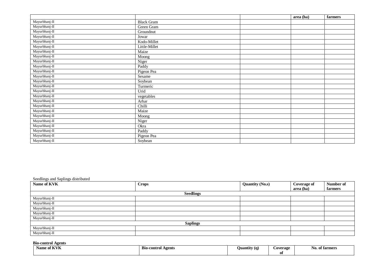|               |                   | area (ha) | farmers |
|---------------|-------------------|-----------|---------|
| Mayurbhanj-II | <b>Black Gram</b> |           |         |
| Mayurbhanj-II | Green Gram        |           |         |
| Mayurbhanj-II | Groundnut         |           |         |
| Mayurbhanj-II | Jowar             |           |         |
| Mayurbhanj-II | Kodo-Millet       |           |         |
| Mayurbhanj-II | Little-Millet     |           |         |
| Mayurbhanj-II | Maize             |           |         |
| Mayurbhanj-II | Moong             |           |         |
| Mayurbhanj-II | Niger             |           |         |
| Mayurbhanj-II | Paddy             |           |         |
| Mayurbhanj-II | Pigeon Pea        |           |         |
| Mayurbhanj-II | Sesame            |           |         |
| Mayurbhanj-II | Soybean           |           |         |
| Mayurbhanj-II | Turmeric          |           |         |
| Mayurbhanj-II | Urid              |           |         |
| Mayurbhanj-II | vegetables        |           |         |
| Mayurbhanj-II | Arhar             |           |         |
| Mayurbhanj-II | Chilli            |           |         |
| Mayurbhanj-II | Maize             |           |         |
| Mayurbhanj-II | Moong             |           |         |
| Mayurbhanj-II | Niger             |           |         |
| Mayurbhanj-II | Okra              |           |         |
| Mayurbhanj-II | Paddy             |           |         |
| Mayurbhanj-II | Pigeon Pea        |           |         |
| Mayurbhanj-II | Soybean           |           |         |

Seedlings and Saplings distributed

| Name of KVK     | <b>Crops</b>     | <b>Quantity (No.s)</b> | <b>Coverage of</b> | Number of |  |  |
|-----------------|------------------|------------------------|--------------------|-----------|--|--|
|                 |                  |                        | area (ha)          | farmers   |  |  |
|                 | <b>Seedlings</b> |                        |                    |           |  |  |
| Mayurbhanj-II   |                  |                        |                    |           |  |  |
| Mayurbhanj-II   |                  |                        |                    |           |  |  |
| Mayurbhanj-II   |                  |                        |                    |           |  |  |
| Mayurbhanj-II   |                  |                        |                    |           |  |  |
| Mayurbhanj-II   |                  |                        |                    |           |  |  |
| <b>Saplings</b> |                  |                        |                    |           |  |  |
| Mayurbhanj-II   |                  |                        |                    |           |  |  |
| Mayurbhanj-II   |                  |                        |                    |           |  |  |

**Bio-control Agents**

| T/T<br>Name of KVK | <b>Bio-control</b><br>Agents<br>. | . .<br><b>Uuantity</b> (g) | Coverage | No.<br>t <b>tarmers</b> |
|--------------------|-----------------------------------|----------------------------|----------|-------------------------|
|                    |                                   |                            | v.       |                         |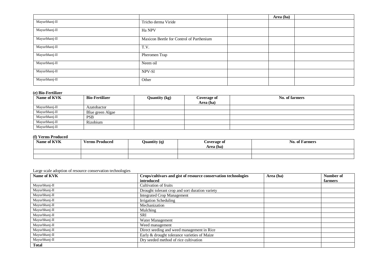|               |                                          | Area (ha) |  |
|---------------|------------------------------------------|-----------|--|
| Mayurbhanj-II | Tricho derma Viride                      |           |  |
| Mayurbhanj-II | Ha NPV                                   |           |  |
| Mayurbhanj-II | Maxicon Beetle for Control of Parthenium |           |  |
| Mayurbhanj-II | T.V.                                     |           |  |
| Mayurbhanj-II | Pheromen Trap                            |           |  |
| Mayurbhanj-II | Neem oil                                 |           |  |
| Mayurbhanj-II | NPV-S1                                   |           |  |
| Mayurbhanj-II | Other                                    |           |  |

#### **(e) Bio-Fertilizer**

| Name of KVK   | <b>Bio-Fertilizer</b> | Quantity (kg) | Coverage of | No. of farmers |
|---------------|-----------------------|---------------|-------------|----------------|
|               |                       |               | Area (ha)   |                |
| Mayurbhanj-II | Azatobactor           |               |             |                |
| Mayurbhanj-II | Blue green Algae      |               |             |                |
| Mayurbhanj-II | <b>PSB</b>            |               |             |                |
| Mayurbhanj-II | Rizobium              |               |             |                |
| Mayurbhanj-II |                       |               |             |                |

#### **(f) Verms Produced**

| Name of KVK | <b>Verms Produced</b> | Quantity (q) | <b>Coverage of</b><br>Area (ha) | <b>No. of Farmers</b> |
|-------------|-----------------------|--------------|---------------------------------|-----------------------|
|             |                       |              |                                 |                       |
|             |                       |              |                                 |                       |

#### Large scale adoption of resource conservation technologies

| Name of KVK   | Crops/cultivars and gist of resource conservation technologies | Area (ha) | Number of |
|---------------|----------------------------------------------------------------|-----------|-----------|
|               | introduced                                                     |           | farmers   |
| Mayurbhanj-II | Cultivation of fruits                                          |           |           |
| Mayurbhanj-II | Drought tolerant crop and sort duration variety                |           |           |
| Mayurbhanj-II | <b>Integrated Crop Management</b>                              |           |           |
| Mayurbhanj-II | Irrigation Scheduling                                          |           |           |
| Mayurbhanj-II | Mechanization                                                  |           |           |
| Mayurbhanj-II | Mulching                                                       |           |           |
| Mayurbhanj-II | <b>SRI</b>                                                     |           |           |
| Mayurbhanj-II | Water Management                                               |           |           |
| Mayurbhanj-II | Weed management                                                |           |           |
| Mayurbhanj-II | Direct seeding and weed management in Rice                     |           |           |
| Mayurbhanj-II | Early & drought tolerance varieties of Maize                   |           |           |
| Mayurbhanj-II | Dry seeded method of rice cultivation                          |           |           |
| <b>Total</b>  |                                                                |           |           |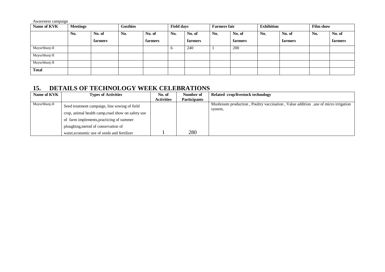Awareness campaign

| Name of KVK   | <b>Meetings</b> |         | Gosthies |         | <b>Field days</b> |         | <b>Farmers fair</b> |         | <b>Exhibition</b> |         | <b>Film show</b> |         |
|---------------|-----------------|---------|----------|---------|-------------------|---------|---------------------|---------|-------------------|---------|------------------|---------|
|               | No.             | No. of  | No.      | No. of  | No.               | No. of  | No.                 | No. of  | No.               | No. of  | No.              | No. of  |
|               |                 | farmers |          | farmers |                   | farmers |                     | farmers |                   | farmers |                  | farmers |
| Mayurbhanj-II |                 |         |          |         | $\sigma$          | 240     |                     | 200     |                   |         |                  |         |
| Mayurbhanj-II |                 |         |          |         |                   |         |                     |         |                   |         |                  |         |
| Mayurbhanj-II |                 |         |          |         |                   |         |                     |         |                   |         |                  |         |
| <b>Total</b>  |                 |         |          |         |                   |         |                     |         |                   |         |                  |         |

# **15. DETAILS OF TECHNOLOGY WEEK CELEBRATIONS**

| Name of KVK   | <b>Types of Activities</b>                        | No. of            | Number of           | Related crop/livestock technology                                                 |
|---------------|---------------------------------------------------|-------------------|---------------------|-----------------------------------------------------------------------------------|
|               |                                                   | <b>Activities</b> | <b>Participants</b> |                                                                                   |
| Mayurbhanj-II | Seed treatment campaign, line sowing of field     |                   |                     | Mushroom production, Poultry vaccination, Value addition, use of micro irrigation |
|               |                                                   |                   |                     | system,                                                                           |
|               | crop, animal health camp, road show on safety use |                   |                     |                                                                                   |
|               | of farm implements, practicing of summer          |                   |                     |                                                                                   |
|               | ploughing, metod of conservation of               |                   |                     |                                                                                   |
|               | water, economic use of seeds and fertilizer       |                   | 280                 |                                                                                   |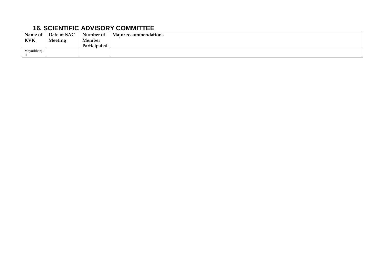# **16. SCIENTIFIC ADVISORY COMMITTEE**

| Name of     | Date of SAC | Number of    | Major recommendations |
|-------------|-------------|--------------|-----------------------|
| <b>KVK</b>  | Meeting     | Member       |                       |
|             |             | Participated |                       |
| Mayurbhanj- |             |              |                       |
| Ш           |             |              |                       |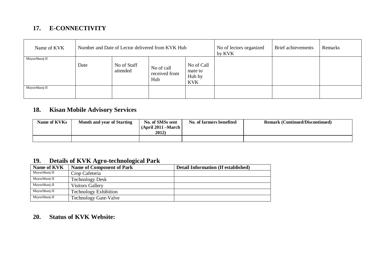# **17. E-CONNECTIVITY**

| Name of KVK   | Number and Date of Lector delivered from KVK Hub |                         |                                    |                                               | No of lectors organized<br>by KVK | Brief achievements | Remarks |
|---------------|--------------------------------------------------|-------------------------|------------------------------------|-----------------------------------------------|-----------------------------------|--------------------|---------|
| Mayurbhanj-II | Date                                             | No of Staff<br>attended | No of call<br>received from<br>Hub | No of Call<br>mate to<br>Hub by<br><b>KVK</b> |                                   |                    |         |
| Mayurbhanj-II |                                                  |                         |                                    |                                               |                                   |                    |         |

# **18. Kisan Mobile Advisory Services**

| Name of KVKs | Month and year of Starting | No. of SMSs sent<br>$(April 2011 - March)$<br>2012) | No. of farmers benefited | <b>Remark (Continued/Discontinued)</b> |
|--------------|----------------------------|-----------------------------------------------------|--------------------------|----------------------------------------|
|              |                            |                                                     |                          |                                        |

# **19. Details of KVK Agro-technological Park**

| Name of KVK   | <b>Name of Component of Park</b> | <b>Detail Information (If established)</b> |
|---------------|----------------------------------|--------------------------------------------|
| Mayurbhanj-II | Crop Cafeteria                   |                                            |
| Mayurbhanj-II | <b>Technology Desk</b>           |                                            |
| Mayurbhanj-II | <b>Visitors Gallery</b>          |                                            |
| Mayurbhanj-II | <b>Technology Exhibition</b>     |                                            |
| Mayurbhanj-II | <b>Technology Gate-Valve</b>     |                                            |

# **20. Status of KVK Website:**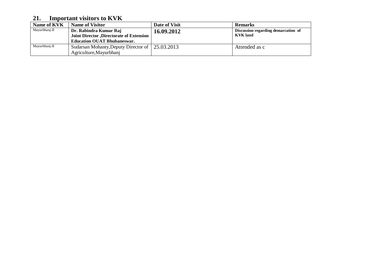# **21. Important visitors to KVK**

| Name of KVK   | <b>Name of Visitor</b>                   | Date of Visit                                     | <b>Remarks</b>  |  |
|---------------|------------------------------------------|---------------------------------------------------|-----------------|--|
| Mayurbhanj-II | Dr. Rabindra Kumar Raj                   | Discussion regarding demarcation of<br>16.09.2012 |                 |  |
|               | Joint Director, Directorate of Extension |                                                   | <b>KVK</b> land |  |
|               | <b>Education OUAT Bhubaneswar.</b>       |                                                   |                 |  |
| Mayurbhanj-II | Sudarsan Mohanty, Deputy Director of     | 25.03.2013                                        | Attended as c   |  |
|               | Agriculture, Mayurbhani                  |                                                   |                 |  |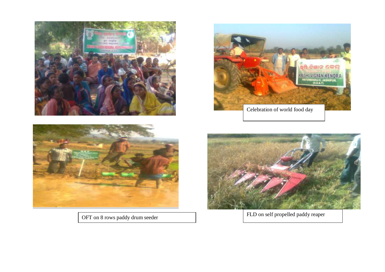





OFT on 8 rows paddy drum seeder FLD on self propelled paddy reaper